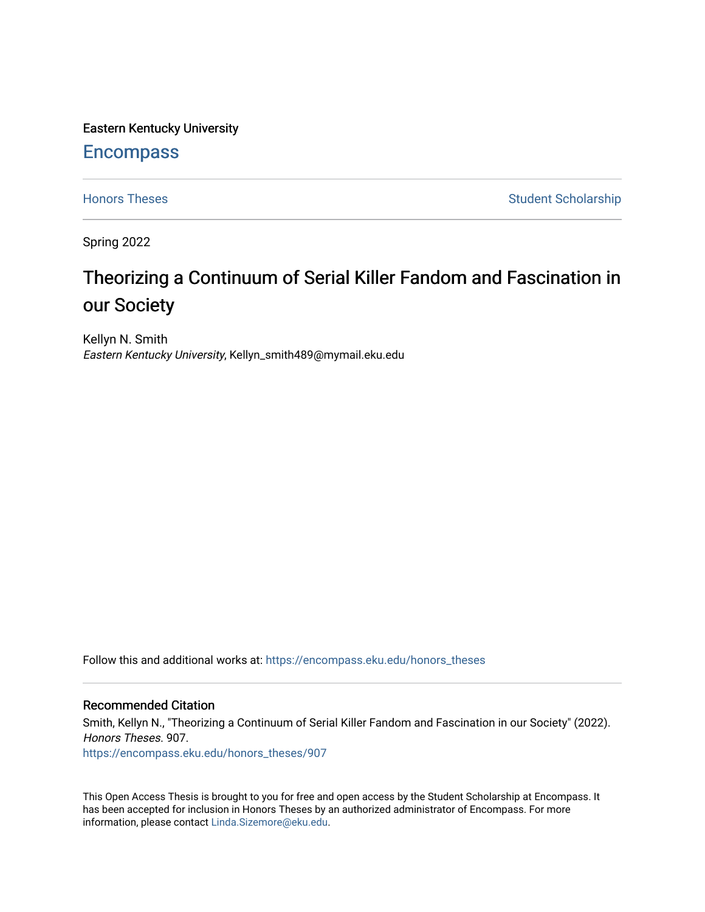Eastern Kentucky University

# **Encompass**

[Honors Theses](https://encompass.eku.edu/honors_theses) **Student Scholarship** Student Scholarship

Spring 2022

# Theorizing a Continuum of Serial Killer Fandom and Fascination in our Society

Kellyn N. Smith Eastern Kentucky University, Kellyn\_smith489@mymail.eku.edu

Follow this and additional works at: [https://encompass.eku.edu/honors\\_theses](https://encompass.eku.edu/honors_theses?utm_source=encompass.eku.edu%2Fhonors_theses%2F907&utm_medium=PDF&utm_campaign=PDFCoverPages) 

# Recommended Citation

Smith, Kellyn N., "Theorizing a Continuum of Serial Killer Fandom and Fascination in our Society" (2022). Honors Theses. 907. [https://encompass.eku.edu/honors\\_theses/907](https://encompass.eku.edu/honors_theses/907?utm_source=encompass.eku.edu%2Fhonors_theses%2F907&utm_medium=PDF&utm_campaign=PDFCoverPages) 

This Open Access Thesis is brought to you for free and open access by the Student Scholarship at Encompass. It has been accepted for inclusion in Honors Theses by an authorized administrator of Encompass. For more information, please contact [Linda.Sizemore@eku.edu.](mailto:Linda.Sizemore@eku.edu)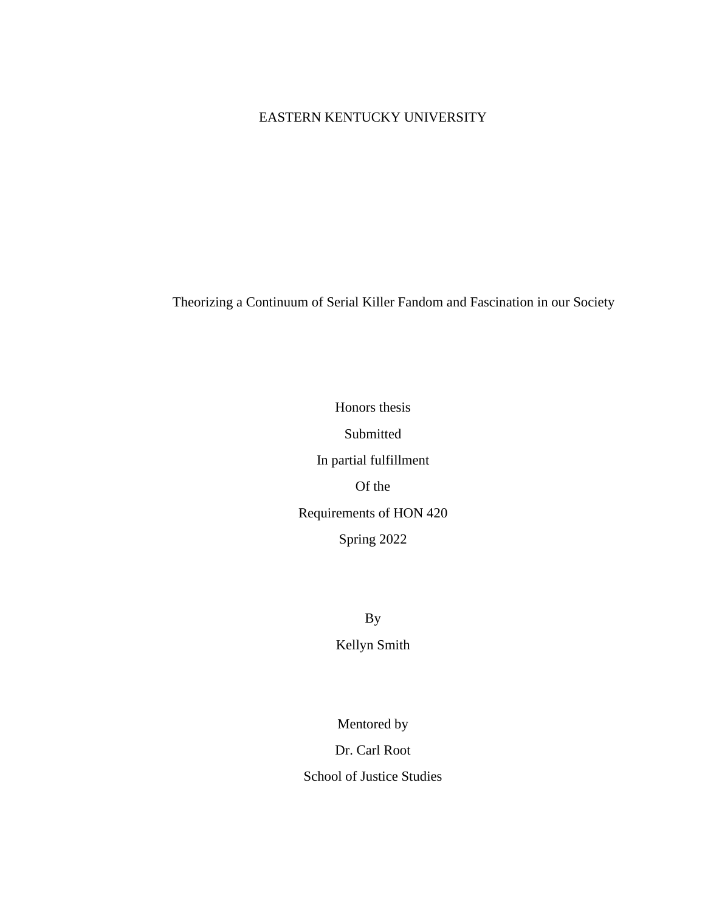# EASTERN KENTUCKY UNIVERSITY

Theorizing a Continuum of Serial Killer Fandom and Fascination in our Society

Honors thesis Submitted In partial fulfillment Of the Requirements of HON 420 Spring 2022

> By Kellyn Smith

Mentored by

Dr. Carl Root

School of Justice Studies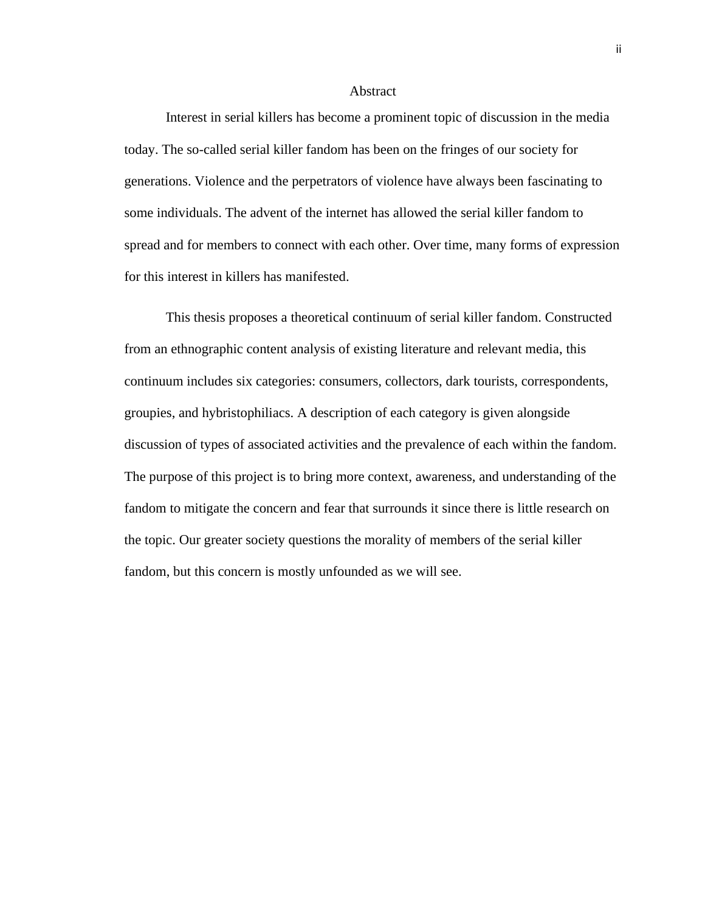#### Abstract

Interest in serial killers has become a prominent topic of discussion in the media today. The so-called serial killer fandom has been on the fringes of our society for generations. Violence and the perpetrators of violence have always been fascinating to some individuals. The advent of the internet has allowed the serial killer fandom to spread and for members to connect with each other. Over time, many forms of expression for this interest in killers has manifested.

This thesis proposes a theoretical continuum of serial killer fandom. Constructed from an ethnographic content analysis of existing literature and relevant media, this continuum includes six categories: consumers, collectors, dark tourists, correspondents, groupies, and hybristophiliacs. A description of each category is given alongside discussion of types of associated activities and the prevalence of each within the fandom. The purpose of this project is to bring more context, awareness, and understanding of the fandom to mitigate the concern and fear that surrounds it since there is little research on the topic. Our greater society questions the morality of members of the serial killer fandom, but this concern is mostly unfounded as we will see.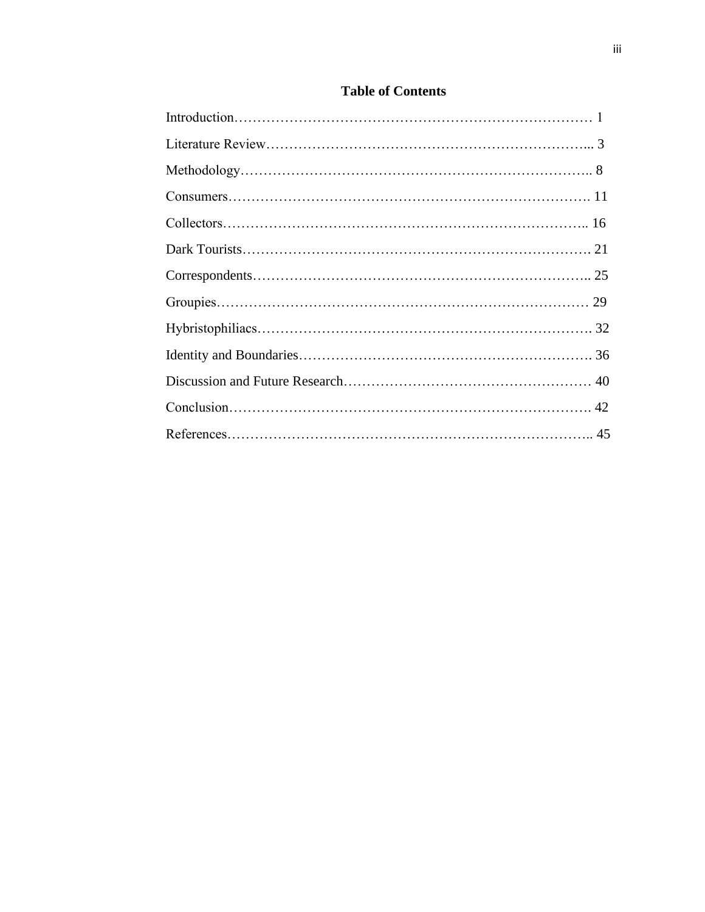# **Table of Contents**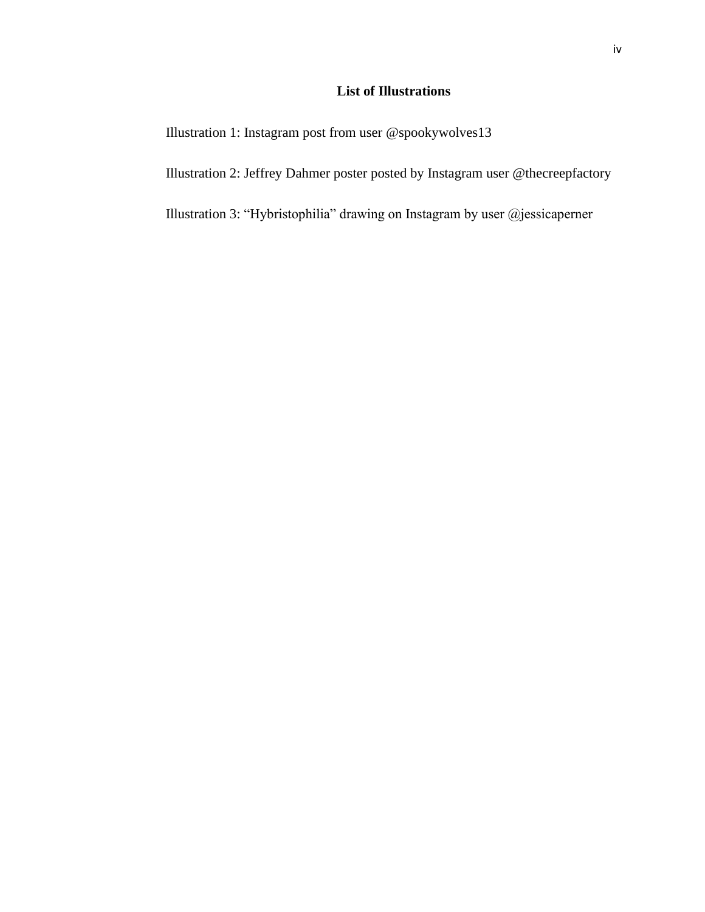# **List of Illustrations**

Illustration 1: Instagram post from user @spookywolves13

Illustration 2: Jeffrey Dahmer poster posted by Instagram user @thecreepfactory

Illustration 3: "Hybristophilia" drawing on Instagram by user @jessicaperner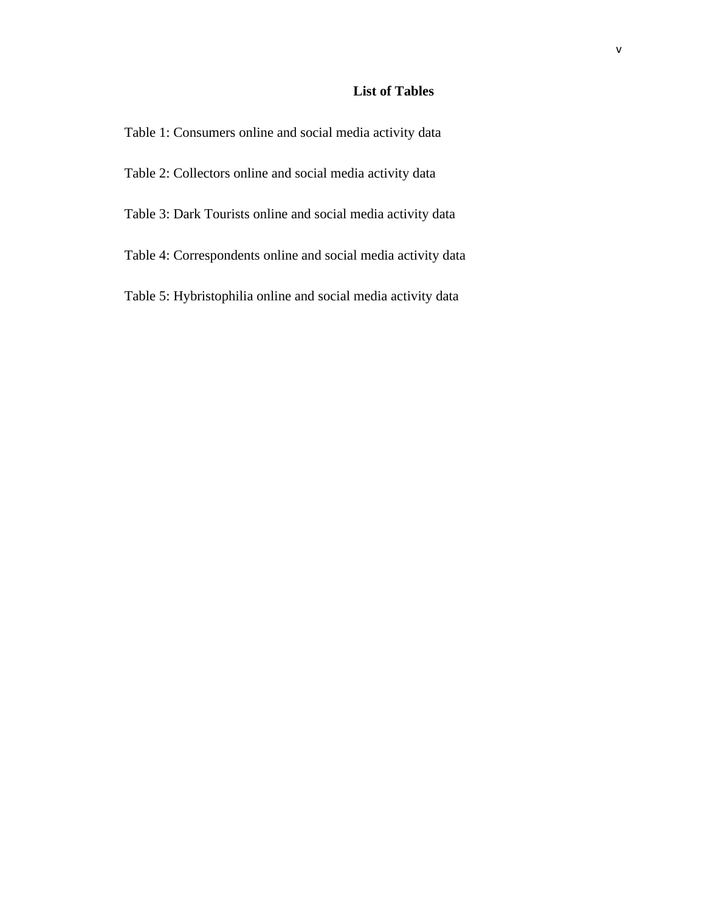# **List of Tables**

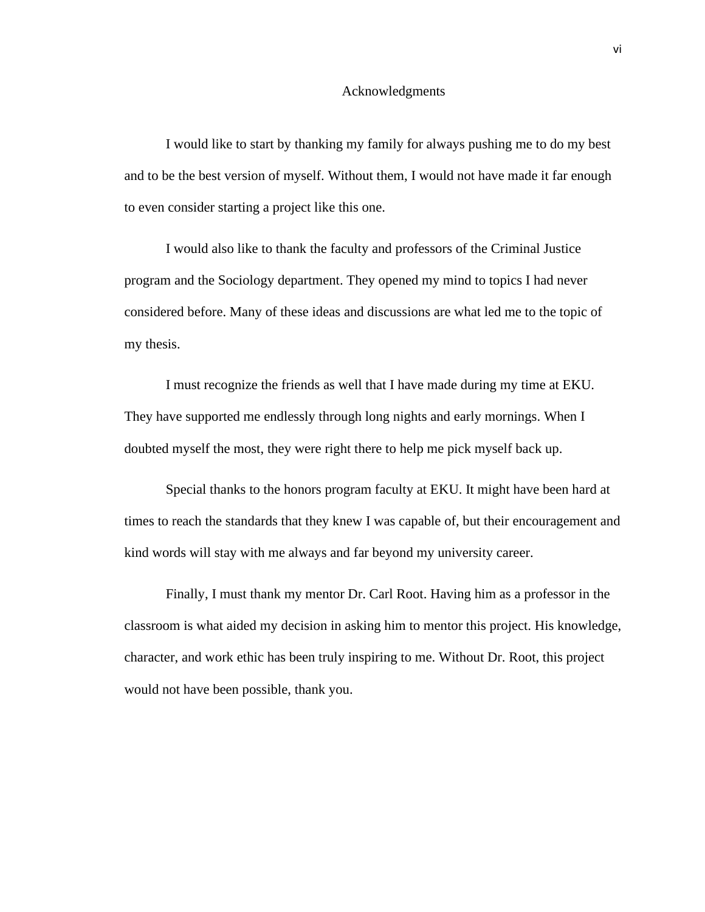#### Acknowledgments

I would like to start by thanking my family for always pushing me to do my best and to be the best version of myself. Without them, I would not have made it far enough to even consider starting a project like this one.

I would also like to thank the faculty and professors of the Criminal Justice program and the Sociology department. They opened my mind to topics I had never considered before. Many of these ideas and discussions are what led me to the topic of my thesis.

I must recognize the friends as well that I have made during my time at EKU. They have supported me endlessly through long nights and early mornings. When I doubted myself the most, they were right there to help me pick myself back up.

Special thanks to the honors program faculty at EKU. It might have been hard at times to reach the standards that they knew I was capable of, but their encouragement and kind words will stay with me always and far beyond my university career.

Finally, I must thank my mentor Dr. Carl Root. Having him as a professor in the classroom is what aided my decision in asking him to mentor this project. His knowledge, character, and work ethic has been truly inspiring to me. Without Dr. Root, this project would not have been possible, thank you.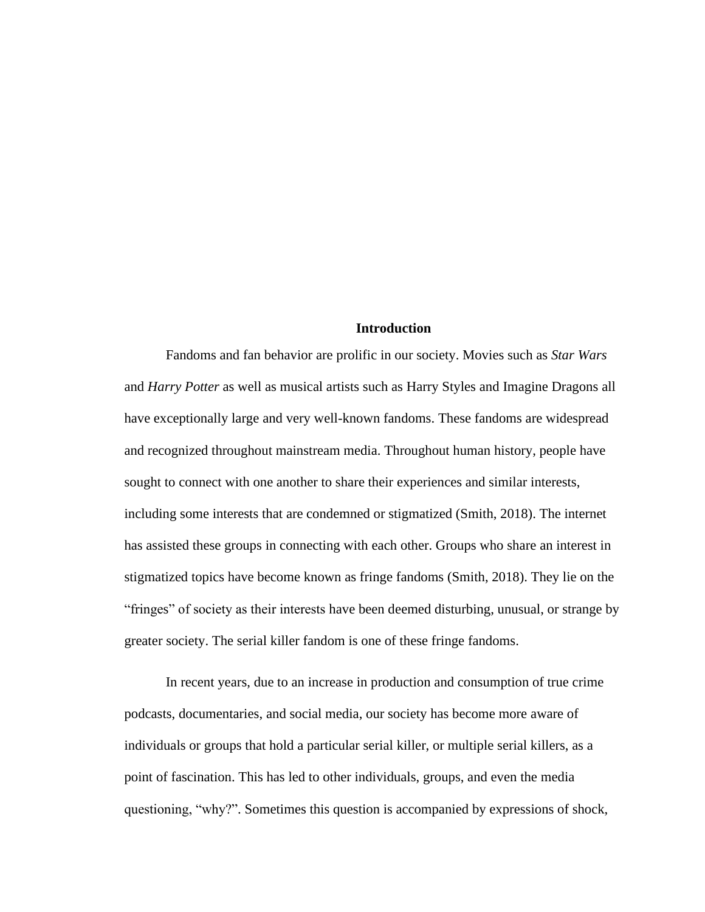# **Introduction**

Fandoms and fan behavior are prolific in our society. Movies such as *Star Wars*  and *Harry Potter* as well as musical artists such as Harry Styles and Imagine Dragons all have exceptionally large and very well-known fandoms. These fandoms are widespread and recognized throughout mainstream media. Throughout human history, people have sought to connect with one another to share their experiences and similar interests, including some interests that are condemned or stigmatized (Smith, 2018). The internet has assisted these groups in connecting with each other. Groups who share an interest in stigmatized topics have become known as fringe fandoms (Smith, 2018). They lie on the "fringes" of society as their interests have been deemed disturbing, unusual, or strange by greater society. The serial killer fandom is one of these fringe fandoms.

In recent years, due to an increase in production and consumption of true crime podcasts, documentaries, and social media, our society has become more aware of individuals or groups that hold a particular serial killer, or multiple serial killers, as a point of fascination. This has led to other individuals, groups, and even the media questioning, "why?". Sometimes this question is accompanied by expressions of shock,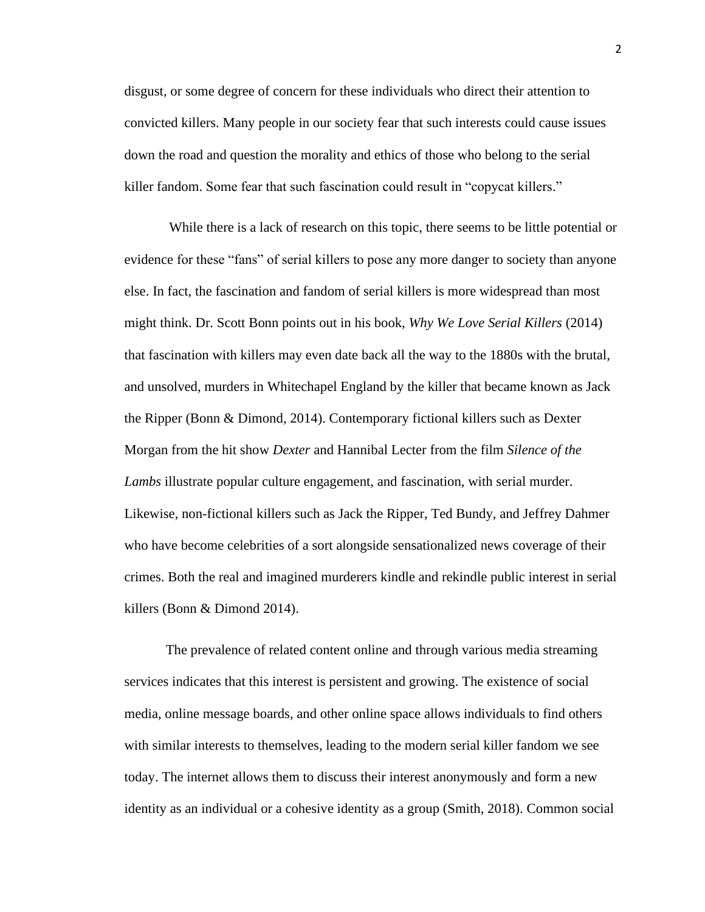disgust, or some degree of concern for these individuals who direct their attention to convicted killers. Many people in our society fear that such interests could cause issues down the road and question the morality and ethics of those who belong to the serial killer fandom. Some fear that such fascination could result in "copycat killers."

While there is a lack of research on this topic, there seems to be little potential or evidence for these "fans" of serial killers to pose any more danger to society than anyone else. In fact, the fascination and fandom of serial killers is more widespread than most might think. Dr. Scott Bonn points out in his book, *Why We Love Serial Killers* (2014) that fascination with killers may even date back all the way to the 1880s with the brutal, and unsolved, murders in Whitechapel England by the killer that became known as Jack the Ripper (Bonn & Dimond, 2014). Contemporary fictional killers such as Dexter Morgan from the hit show *Dexter* and Hannibal Lecter from the film *Silence of the Lambs* illustrate popular culture engagement, and fascination, with serial murder. Likewise, non-fictional killers such as Jack the Ripper, Ted Bundy, and Jeffrey Dahmer who have become celebrities of a sort alongside sensationalized news coverage of their crimes. Both the real and imagined murderers kindle and rekindle public interest in serial killers (Bonn & Dimond 2014).

The prevalence of related content online and through various media streaming services indicates that this interest is persistent and growing. The existence of social media, online message boards, and other online space allows individuals to find others with similar interests to themselves, leading to the modern serial killer fandom we see today. The internet allows them to discuss their interest anonymously and form a new identity as an individual or a cohesive identity as a group (Smith, 2018). Common social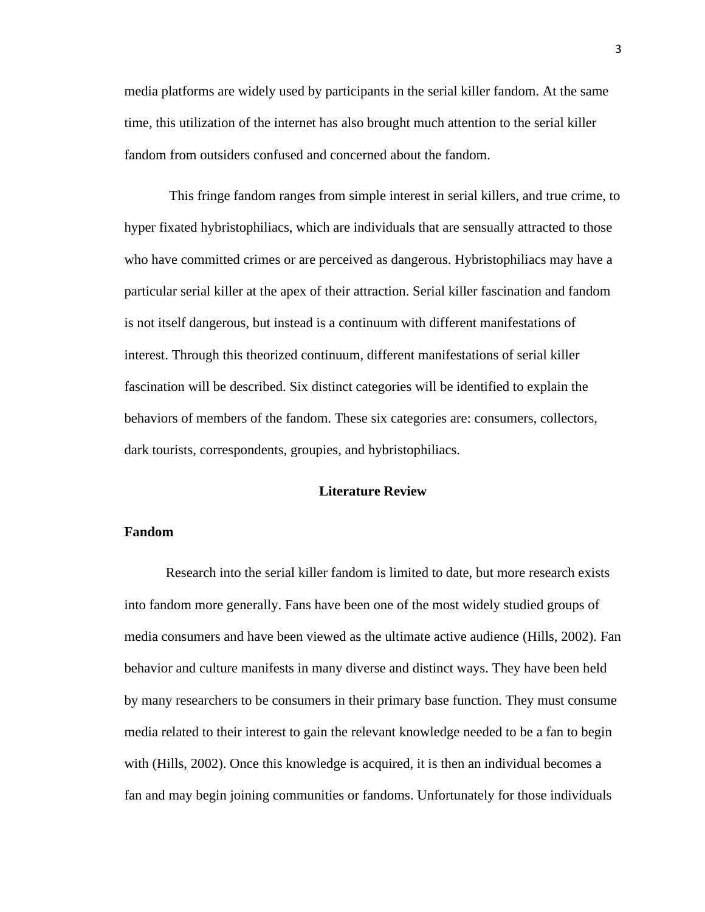media platforms are widely used by participants in the serial killer fandom. At the same time, this utilization of the internet has also brought much attention to the serial killer fandom from outsiders confused and concerned about the fandom.

This fringe fandom ranges from simple interest in serial killers, and true crime, to hyper fixated hybristophiliacs, which are individuals that are sensually attracted to those who have committed crimes or are perceived as dangerous. Hybristophiliacs may have a particular serial killer at the apex of their attraction. Serial killer fascination and fandom is not itself dangerous, but instead is a continuum with different manifestations of interest. Through this theorized continuum, different manifestations of serial killer fascination will be described. Six distinct categories will be identified to explain the behaviors of members of the fandom. These six categories are: consumers, collectors, dark tourists, correspondents, groupies, and hybristophiliacs.

### **Literature Review**

# **Fandom**

Research into the serial killer fandom is limited to date, but more research exists into fandom more generally. Fans have been one of the most widely studied groups of media consumers and have been viewed as the ultimate active audience (Hills, 2002). Fan behavior and culture manifests in many diverse and distinct ways. They have been held by many researchers to be consumers in their primary base function. They must consume media related to their interest to gain the relevant knowledge needed to be a fan to begin with (Hills, 2002). Once this knowledge is acquired, it is then an individual becomes a fan and may begin joining communities or fandoms. Unfortunately for those individuals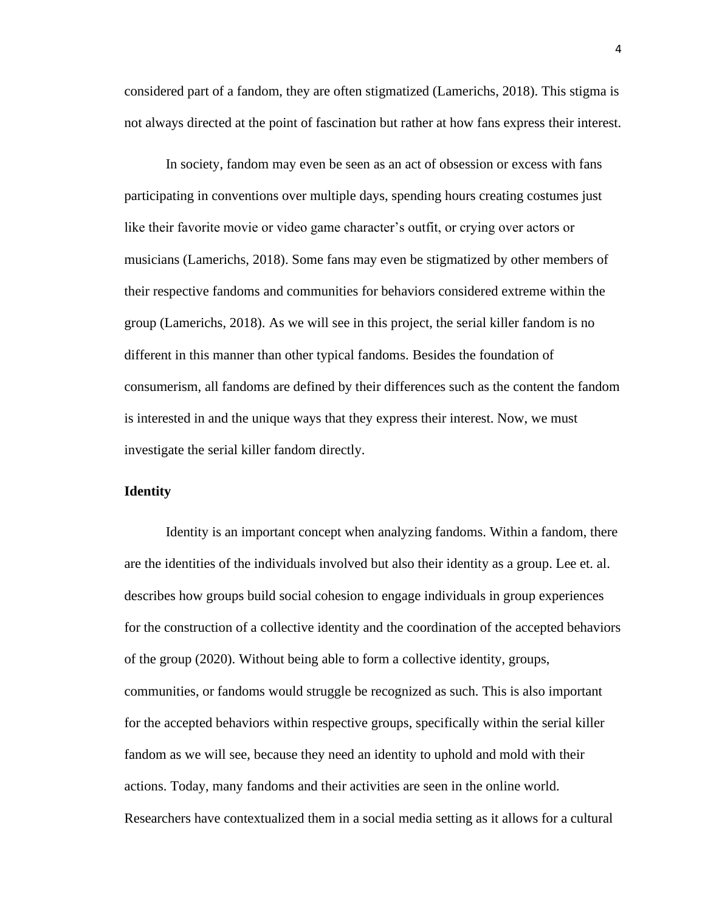considered part of a fandom, they are often stigmatized (Lamerichs, 2018). This stigma is not always directed at the point of fascination but rather at how fans express their interest.

In society, fandom may even be seen as an act of obsession or excess with fans participating in conventions over multiple days, spending hours creating costumes just like their favorite movie or video game character's outfit, or crying over actors or musicians (Lamerichs, 2018). Some fans may even be stigmatized by other members of their respective fandoms and communities for behaviors considered extreme within the group (Lamerichs, 2018). As we will see in this project, the serial killer fandom is no different in this manner than other typical fandoms. Besides the foundation of consumerism, all fandoms are defined by their differences such as the content the fandom is interested in and the unique ways that they express their interest. Now, we must investigate the serial killer fandom directly.

#### **Identity**

Identity is an important concept when analyzing fandoms. Within a fandom, there are the identities of the individuals involved but also their identity as a group. Lee et. al. describes how groups build social cohesion to engage individuals in group experiences for the construction of a collective identity and the coordination of the accepted behaviors of the group (2020). Without being able to form a collective identity, groups, communities, or fandoms would struggle be recognized as such. This is also important for the accepted behaviors within respective groups, specifically within the serial killer fandom as we will see, because they need an identity to uphold and mold with their actions. Today, many fandoms and their activities are seen in the online world. Researchers have contextualized them in a social media setting as it allows for a cultural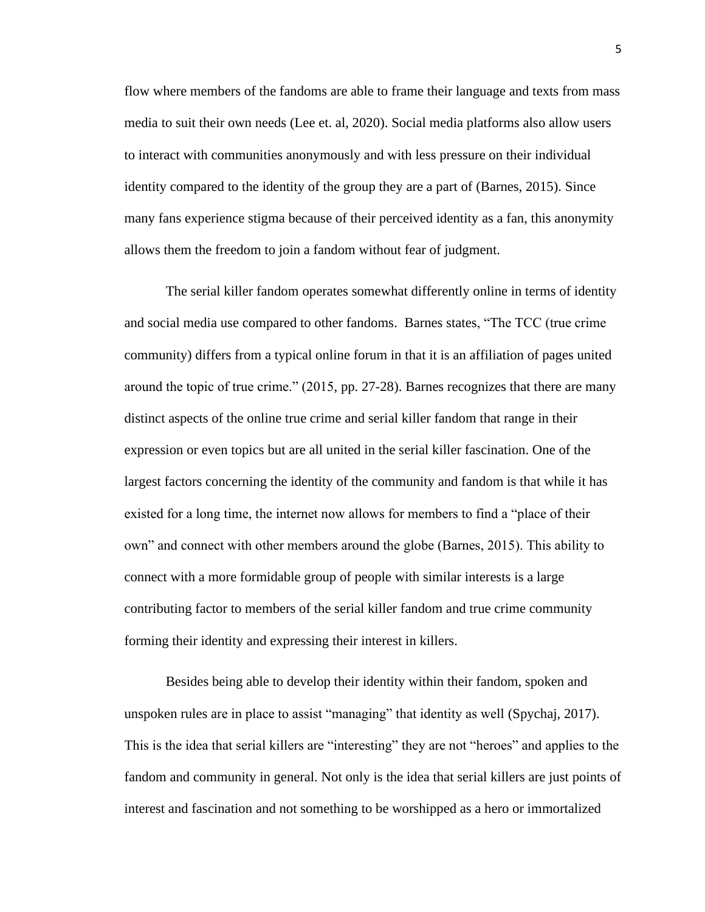flow where members of the fandoms are able to frame their language and texts from mass media to suit their own needs (Lee et. al, 2020). Social media platforms also allow users to interact with communities anonymously and with less pressure on their individual identity compared to the identity of the group they are a part of (Barnes, 2015). Since many fans experience stigma because of their perceived identity as a fan, this anonymity allows them the freedom to join a fandom without fear of judgment.

The serial killer fandom operates somewhat differently online in terms of identity and social media use compared to other fandoms. Barnes states, "The TCC (true crime community) differs from a typical online forum in that it is an affiliation of pages united around the topic of true crime." (2015, pp. 27-28). Barnes recognizes that there are many distinct aspects of the online true crime and serial killer fandom that range in their expression or even topics but are all united in the serial killer fascination. One of the largest factors concerning the identity of the community and fandom is that while it has existed for a long time, the internet now allows for members to find a "place of their own" and connect with other members around the globe (Barnes, 2015). This ability to connect with a more formidable group of people with similar interests is a large contributing factor to members of the serial killer fandom and true crime community forming their identity and expressing their interest in killers.

Besides being able to develop their identity within their fandom, spoken and unspoken rules are in place to assist "managing" that identity as well (Spychaj, 2017). This is the idea that serial killers are "interesting" they are not "heroes" and applies to the fandom and community in general. Not only is the idea that serial killers are just points of interest and fascination and not something to be worshipped as a hero or immortalized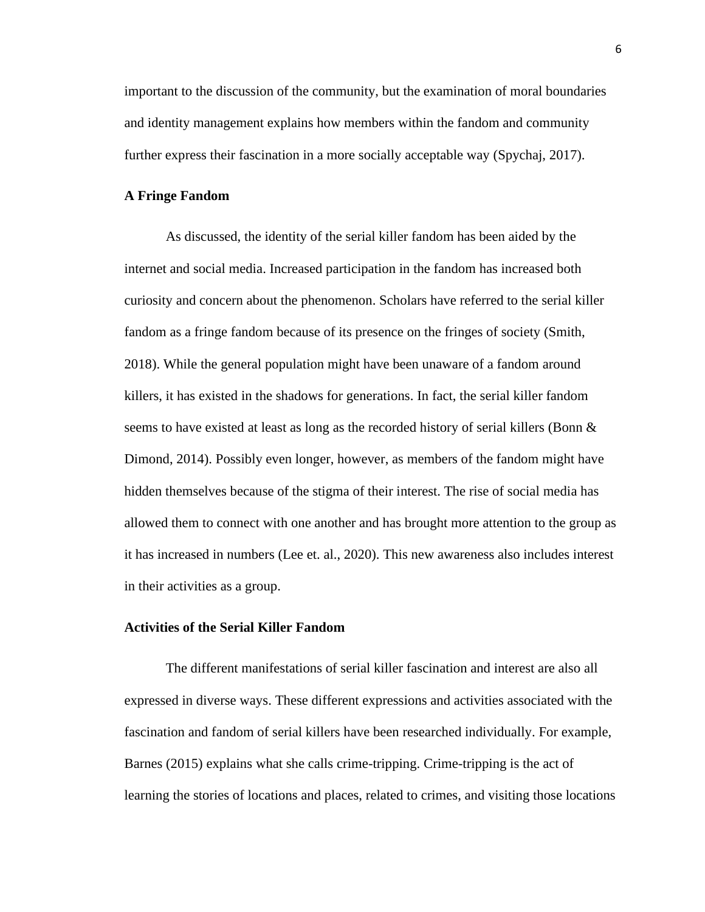important to the discussion of the community, but the examination of moral boundaries and identity management explains how members within the fandom and community further express their fascination in a more socially acceptable way (Spychaj, 2017).

# **A Fringe Fandom**

As discussed, the identity of the serial killer fandom has been aided by the internet and social media. Increased participation in the fandom has increased both curiosity and concern about the phenomenon. Scholars have referred to the serial killer fandom as a fringe fandom because of its presence on the fringes of society (Smith, 2018). While the general population might have been unaware of a fandom around killers, it has existed in the shadows for generations. In fact, the serial killer fandom seems to have existed at least as long as the recorded history of serial killers (Bonn & Dimond, 2014). Possibly even longer, however, as members of the fandom might have hidden themselves because of the stigma of their interest. The rise of social media has allowed them to connect with one another and has brought more attention to the group as it has increased in numbers (Lee et. al., 2020). This new awareness also includes interest in their activities as a group.

### **Activities of the Serial Killer Fandom**

The different manifestations of serial killer fascination and interest are also all expressed in diverse ways. These different expressions and activities associated with the fascination and fandom of serial killers have been researched individually. For example, Barnes (2015) explains what she calls crime-tripping. Crime-tripping is the act of learning the stories of locations and places, related to crimes, and visiting those locations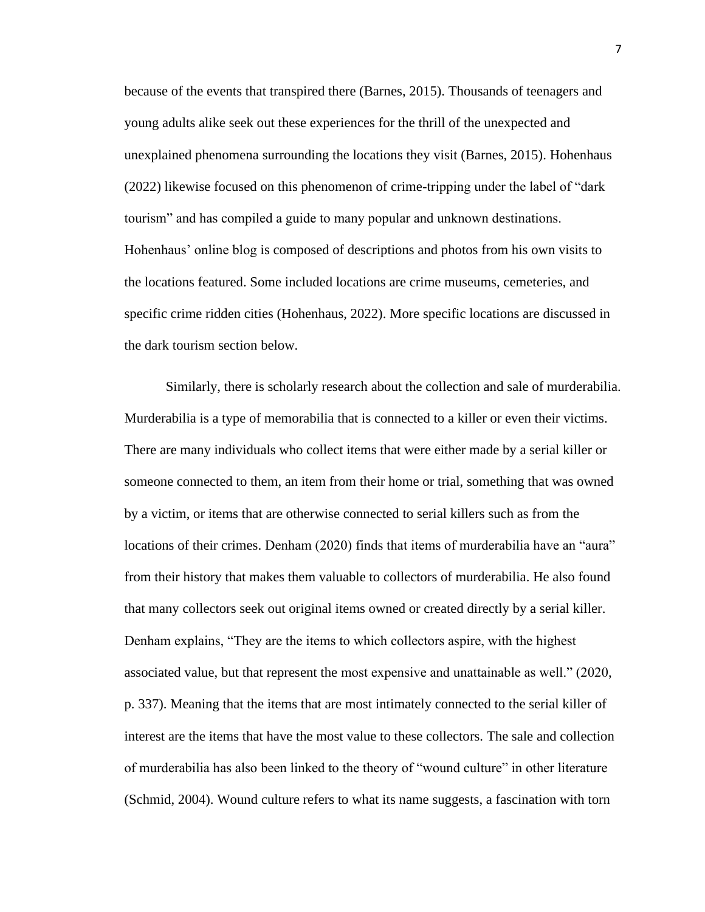because of the events that transpired there (Barnes, 2015). Thousands of teenagers and young adults alike seek out these experiences for the thrill of the unexpected and unexplained phenomena surrounding the locations they visit (Barnes, 2015). Hohenhaus (2022) likewise focused on this phenomenon of crime-tripping under the label of "dark tourism" and has compiled a guide to many popular and unknown destinations. Hohenhaus' online blog is composed of descriptions and photos from his own visits to the locations featured. Some included locations are crime museums, cemeteries, and specific crime ridden cities (Hohenhaus, 2022). More specific locations are discussed in the dark tourism section below.

Similarly, there is scholarly research about the collection and sale of murderabilia. Murderabilia is a type of memorabilia that is connected to a killer or even their victims. There are many individuals who collect items that were either made by a serial killer or someone connected to them, an item from their home or trial, something that was owned by a victim, or items that are otherwise connected to serial killers such as from the locations of their crimes. Denham (2020) finds that items of murderabilia have an "aura" from their history that makes them valuable to collectors of murderabilia. He also found that many collectors seek out original items owned or created directly by a serial killer. Denham explains, "They are the items to which collectors aspire, with the highest associated value, but that represent the most expensive and unattainable as well." (2020, p. 337). Meaning that the items that are most intimately connected to the serial killer of interest are the items that have the most value to these collectors. The sale and collection of murderabilia has also been linked to the theory of "wound culture" in other literature (Schmid, 2004). Wound culture refers to what its name suggests, a fascination with torn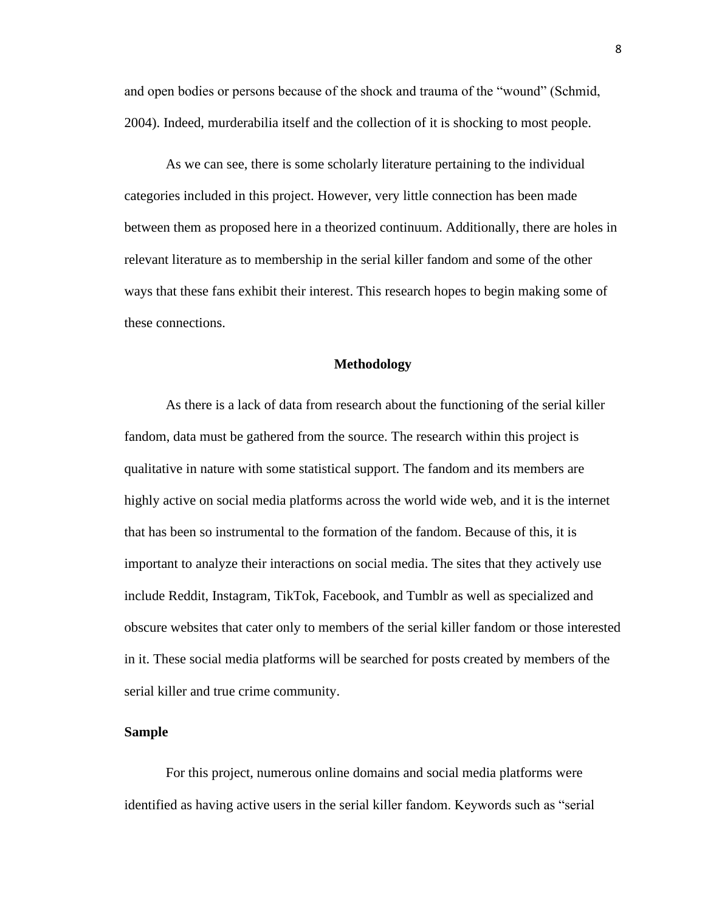and open bodies or persons because of the shock and trauma of the "wound" (Schmid, 2004). Indeed, murderabilia itself and the collection of it is shocking to most people.

As we can see, there is some scholarly literature pertaining to the individual categories included in this project. However, very little connection has been made between them as proposed here in a theorized continuum. Additionally, there are holes in relevant literature as to membership in the serial killer fandom and some of the other ways that these fans exhibit their interest. This research hopes to begin making some of these connections.

#### **Methodology**

As there is a lack of data from research about the functioning of the serial killer fandom, data must be gathered from the source. The research within this project is qualitative in nature with some statistical support. The fandom and its members are highly active on social media platforms across the world wide web, and it is the internet that has been so instrumental to the formation of the fandom. Because of this, it is important to analyze their interactions on social media. The sites that they actively use include Reddit, Instagram, TikTok, Facebook, and Tumblr as well as specialized and obscure websites that cater only to members of the serial killer fandom or those interested in it. These social media platforms will be searched for posts created by members of the serial killer and true crime community.

### **Sample**

For this project, numerous online domains and social media platforms were identified as having active users in the serial killer fandom. Keywords such as "serial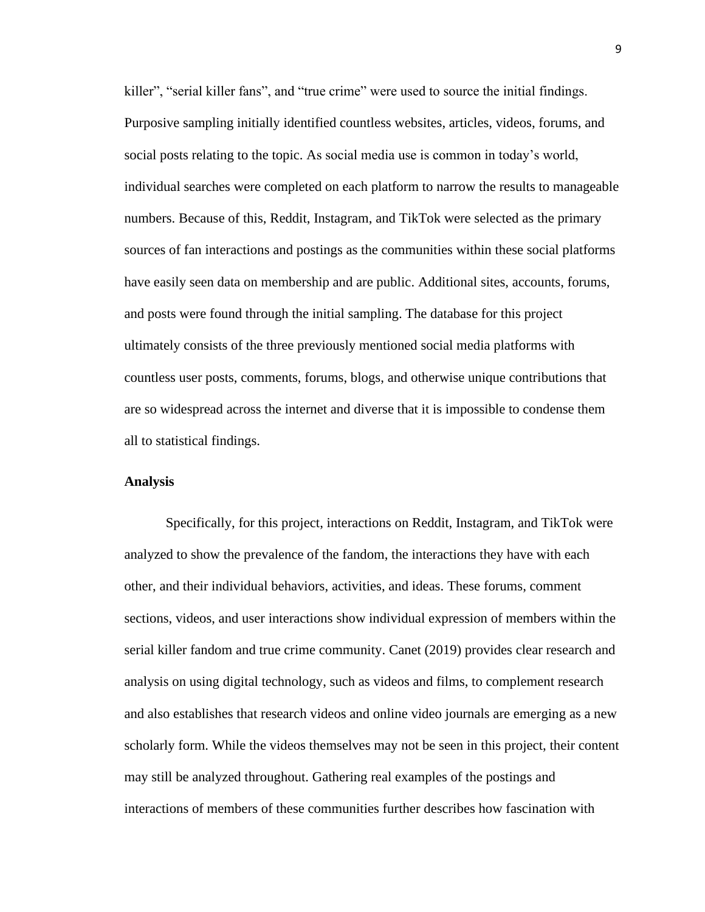killer", "serial killer fans", and "true crime" were used to source the initial findings. Purposive sampling initially identified countless websites, articles, videos, forums, and social posts relating to the topic. As social media use is common in today's world, individual searches were completed on each platform to narrow the results to manageable numbers. Because of this, Reddit, Instagram, and TikTok were selected as the primary sources of fan interactions and postings as the communities within these social platforms have easily seen data on membership and are public. Additional sites, accounts, forums, and posts were found through the initial sampling. The database for this project ultimately consists of the three previously mentioned social media platforms with countless user posts, comments, forums, blogs, and otherwise unique contributions that are so widespread across the internet and diverse that it is impossible to condense them all to statistical findings.

# **Analysis**

Specifically, for this project, interactions on Reddit, Instagram, and TikTok were analyzed to show the prevalence of the fandom, the interactions they have with each other, and their individual behaviors, activities, and ideas. These forums, comment sections, videos, and user interactions show individual expression of members within the serial killer fandom and true crime community. Canet (2019) provides clear research and analysis on using digital technology, such as videos and films, to complement research and also establishes that research videos and online video journals are emerging as a new scholarly form. While the videos themselves may not be seen in this project, their content may still be analyzed throughout. Gathering real examples of the postings and interactions of members of these communities further describes how fascination with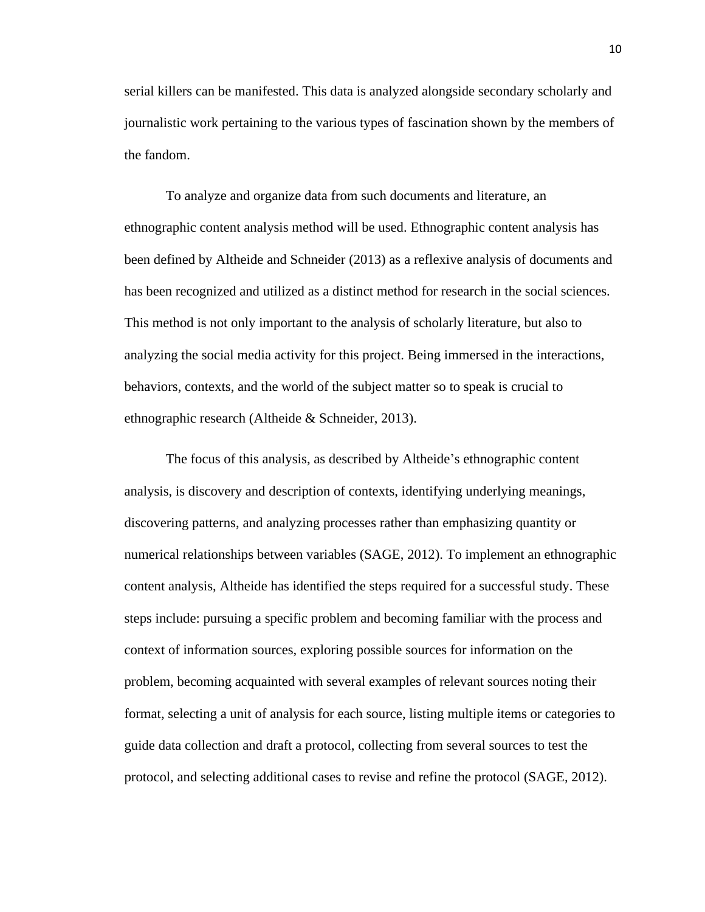serial killers can be manifested. This data is analyzed alongside secondary scholarly and journalistic work pertaining to the various types of fascination shown by the members of the fandom.

To analyze and organize data from such documents and literature, an ethnographic content analysis method will be used. Ethnographic content analysis has been defined by Altheide and Schneider (2013) as a reflexive analysis of documents and has been recognized and utilized as a distinct method for research in the social sciences. This method is not only important to the analysis of scholarly literature, but also to analyzing the social media activity for this project. Being immersed in the interactions, behaviors, contexts, and the world of the subject matter so to speak is crucial to ethnographic research (Altheide & Schneider, 2013).

The focus of this analysis, as described by Altheide's ethnographic content analysis, is discovery and description of contexts, identifying underlying meanings, discovering patterns, and analyzing processes rather than emphasizing quantity or numerical relationships between variables (SAGE, 2012). To implement an ethnographic content analysis, Altheide has identified the steps required for a successful study. These steps include: pursuing a specific problem and becoming familiar with the process and context of information sources, exploring possible sources for information on the problem, becoming acquainted with several examples of relevant sources noting their format, selecting a unit of analysis for each source, listing multiple items or categories to guide data collection and draft a protocol, collecting from several sources to test the protocol, and selecting additional cases to revise and refine the protocol (SAGE, 2012).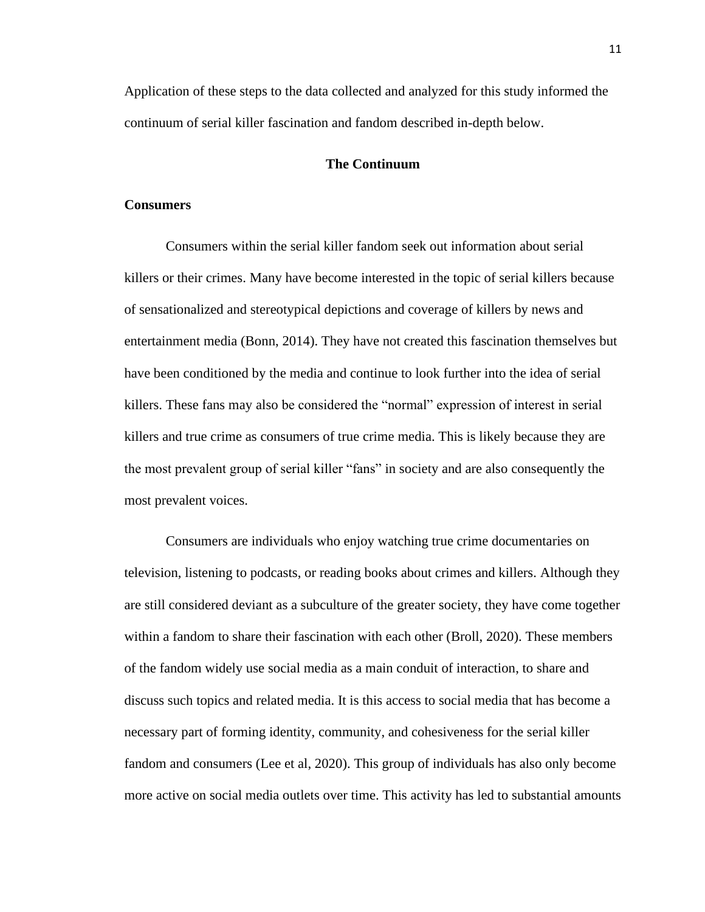Application of these steps to the data collected and analyzed for this study informed the continuum of serial killer fascination and fandom described in-depth below.

# **The Continuum**

## **Consumers**

Consumers within the serial killer fandom seek out information about serial killers or their crimes. Many have become interested in the topic of serial killers because of sensationalized and stereotypical depictions and coverage of killers by news and entertainment media (Bonn, 2014). They have not created this fascination themselves but have been conditioned by the media and continue to look further into the idea of serial killers. These fans may also be considered the "normal" expression of interest in serial killers and true crime as consumers of true crime media. This is likely because they are the most prevalent group of serial killer "fans" in society and are also consequently the most prevalent voices.

Consumers are individuals who enjoy watching true crime documentaries on television, listening to podcasts, or reading books about crimes and killers. Although they are still considered deviant as a subculture of the greater society, they have come together within a fandom to share their fascination with each other (Broll, 2020). These members of the fandom widely use social media as a main conduit of interaction, to share and discuss such topics and related media. It is this access to social media that has become a necessary part of forming identity, community, and cohesiveness for the serial killer fandom and consumers (Lee et al, 2020). This group of individuals has also only become more active on social media outlets over time. This activity has led to substantial amounts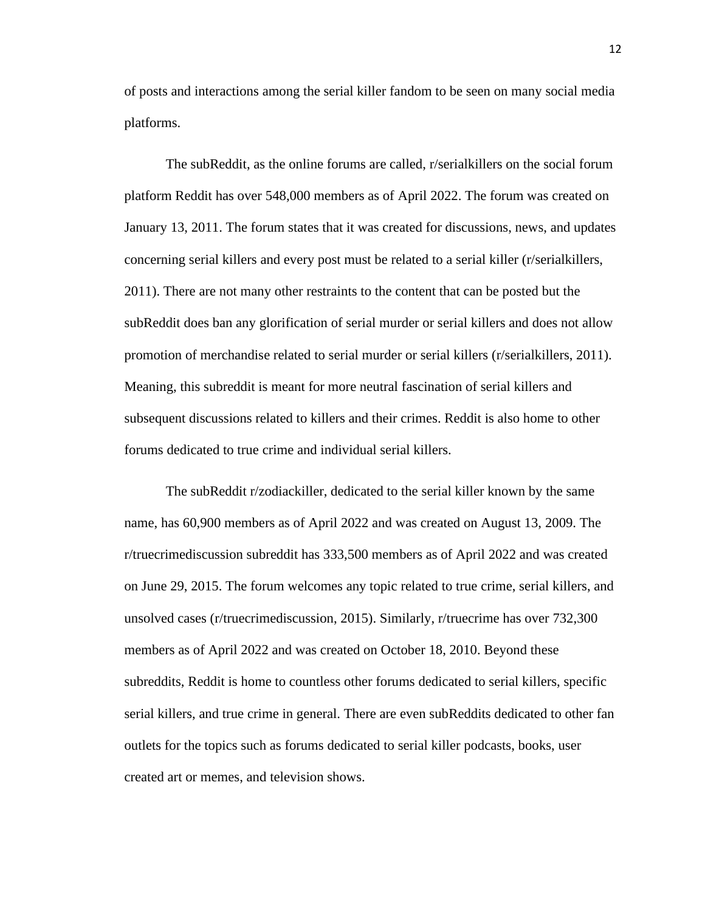of posts and interactions among the serial killer fandom to be seen on many social media platforms.

The subReddit, as the online forums are called, r/serialkillers on the social forum platform Reddit has over 548,000 members as of April 2022. The forum was created on January 13, 2011. The forum states that it was created for discussions, news, and updates concerning serial killers and every post must be related to a serial killer (r/serialkillers, 2011). There are not many other restraints to the content that can be posted but the subReddit does ban any glorification of serial murder or serial killers and does not allow promotion of merchandise related to serial murder or serial killers (r/serialkillers, 2011). Meaning, this subreddit is meant for more neutral fascination of serial killers and subsequent discussions related to killers and their crimes. Reddit is also home to other forums dedicated to true crime and individual serial killers.

The subReddit r/zodiackiller, dedicated to the serial killer known by the same name, has 60,900 members as of April 2022 and was created on August 13, 2009. The r/truecrimediscussion subreddit has 333,500 members as of April 2022 and was created on June 29, 2015. The forum welcomes any topic related to true crime, serial killers, and unsolved cases (r/truecrimediscussion, 2015). Similarly, r/truecrime has over 732,300 members as of April 2022 and was created on October 18, 2010. Beyond these subreddits, Reddit is home to countless other forums dedicated to serial killers, specific serial killers, and true crime in general. There are even subReddits dedicated to other fan outlets for the topics such as forums dedicated to serial killer podcasts, books, user created art or memes, and television shows.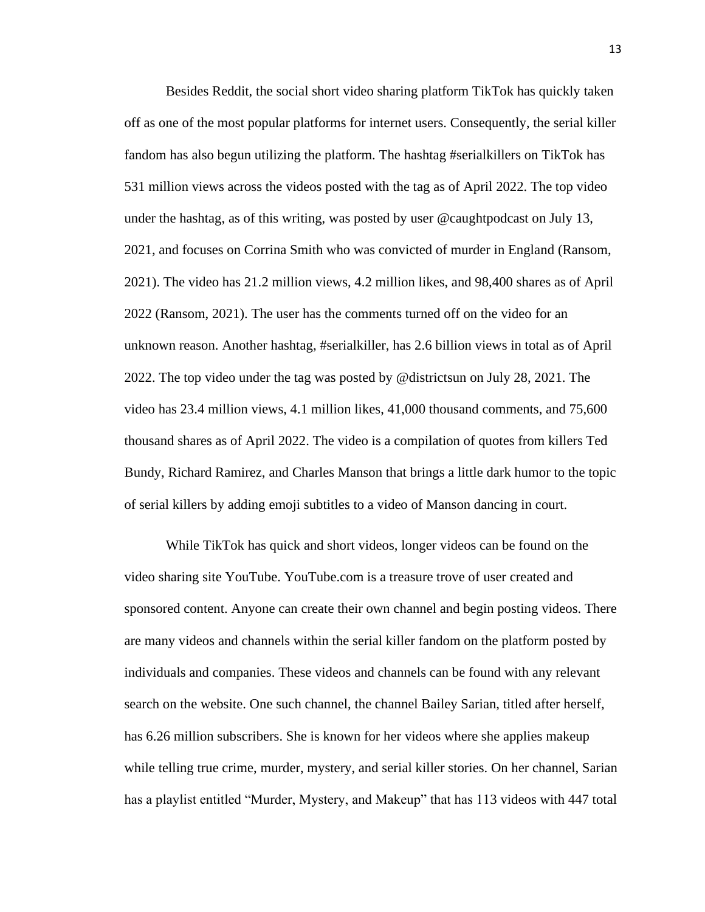Besides Reddit, the social short video sharing platform TikTok has quickly taken off as one of the most popular platforms for internet users. Consequently, the serial killer fandom has also begun utilizing the platform. The hashtag #serialkillers on TikTok has 531 million views across the videos posted with the tag as of April 2022. The top video under the hashtag, as of this writing, was posted by user @caughtpodcast on July 13, 2021, and focuses on Corrina Smith who was convicted of murder in England (Ransom, 2021). The video has 21.2 million views, 4.2 million likes, and 98,400 shares as of April 2022 (Ransom, 2021). The user has the comments turned off on the video for an unknown reason. Another hashtag, #serialkiller, has 2.6 billion views in total as of April 2022. The top video under the tag was posted by @districtsun on July 28, 2021. The video has 23.4 million views, 4.1 million likes, 41,000 thousand comments, and 75,600 thousand shares as of April 2022. The video is a compilation of quotes from killers Ted Bundy, Richard Ramirez, and Charles Manson that brings a little dark humor to the topic of serial killers by adding emoji subtitles to a video of Manson dancing in court.

While TikTok has quick and short videos, longer videos can be found on the video sharing site YouTube. YouTube.com is a treasure trove of user created and sponsored content. Anyone can create their own channel and begin posting videos. There are many videos and channels within the serial killer fandom on the platform posted by individuals and companies. These videos and channels can be found with any relevant search on the website. One such channel, the channel Bailey Sarian, titled after herself, has 6.26 million subscribers. She is known for her videos where she applies makeup while telling true crime, murder, mystery, and serial killer stories. On her channel, Sarian has a playlist entitled "Murder, Mystery, and Makeup" that has 113 videos with 447 total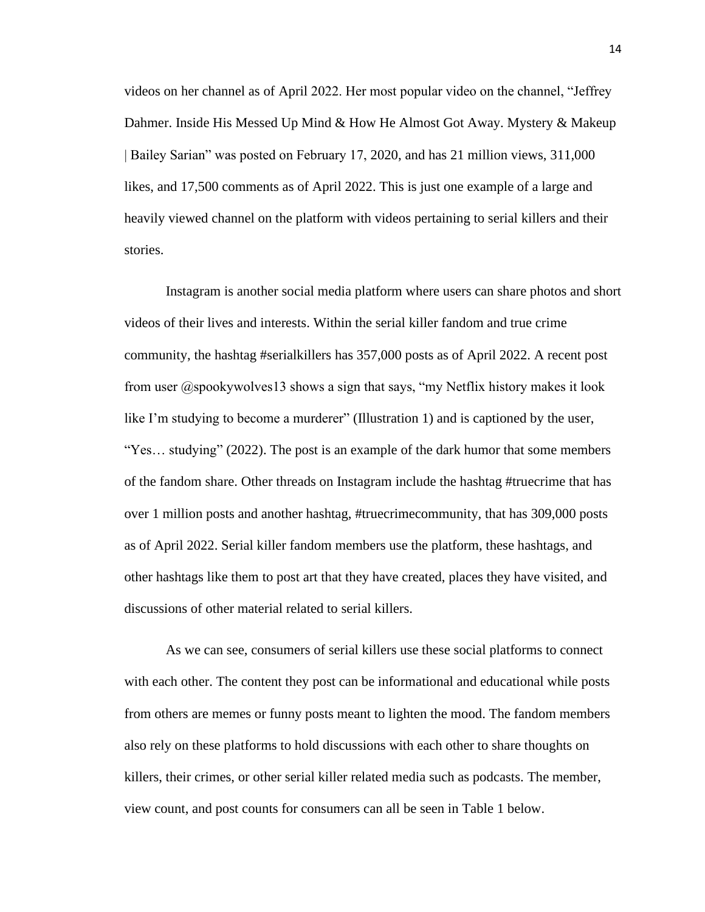videos on her channel as of April 2022. Her most popular video on the channel, "Jeffrey Dahmer. Inside His Messed Up Mind & How He Almost Got Away. Mystery & Makeup | Bailey Sarian" was posted on February 17, 2020, and has 21 million views, 311,000 likes, and 17,500 comments as of April 2022. This is just one example of a large and heavily viewed channel on the platform with videos pertaining to serial killers and their stories.

Instagram is another social media platform where users can share photos and short videos of their lives and interests. Within the serial killer fandom and true crime community, the hashtag #serialkillers has 357,000 posts as of April 2022. A recent post from user @spookywolves13 shows a sign that says, "my Netflix history makes it look like I'm studying to become a murderer" (Illustration 1) and is captioned by the user, "Yes... studying" (2022). The post is an example of the dark humor that some members of the fandom share. Other threads on Instagram include the hashtag #truecrime that has over 1 million posts and another hashtag, #truecrimecommunity, that has 309,000 posts as of April 2022. Serial killer fandom members use the platform, these hashtags, and other hashtags like them to post art that they have created, places they have visited, and discussions of other material related to serial killers.

As we can see, consumers of serial killers use these social platforms to connect with each other. The content they post can be informational and educational while posts from others are memes or funny posts meant to lighten the mood. The fandom members also rely on these platforms to hold discussions with each other to share thoughts on killers, their crimes, or other serial killer related media such as podcasts. The member, view count, and post counts for consumers can all be seen in Table 1 below.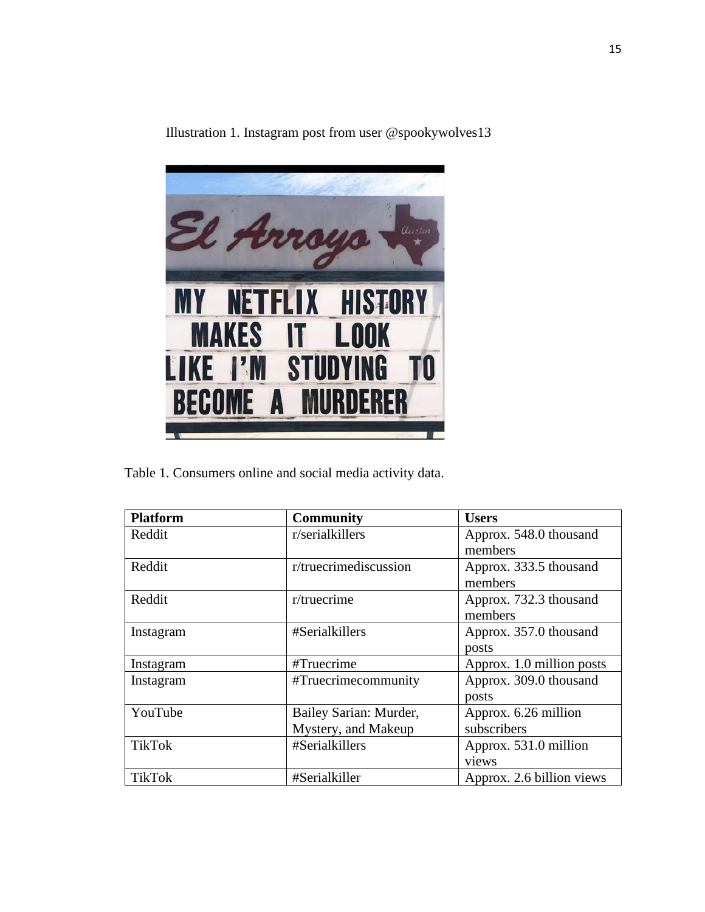

Illustration 1. Instagram post from user @spookywolves13

Table 1. Consumers online and social media activity data.

| <b>Platform</b> | <b>Community</b>       | <b>Users</b>              |
|-----------------|------------------------|---------------------------|
| Reddit          | r/serialkillers        | Approx. 548.0 thousand    |
|                 |                        | members                   |
| Reddit          | r/truecrimediscussion  | Approx. 333.5 thousand    |
|                 |                        | members                   |
| Reddit          | $r$ /truecrime         | Approx. 732.3 thousand    |
|                 |                        | members                   |
| Instagram       | #Serialkillers         | Approx. 357.0 thousand    |
|                 |                        | posts                     |
| Instagram       | #Truecrime             | Approx. 1.0 million posts |
| Instagram       | #Truecrimecommunity    | Approx. 309.0 thousand    |
|                 |                        | posts                     |
| YouTube         | Bailey Sarian: Murder, | Approx. 6.26 million      |
|                 | Mystery, and Makeup    | subscribers               |
| <b>TikTok</b>   | #Serialkillers         | Approx. 531.0 million     |
|                 |                        | views                     |
| <b>TikTok</b>   | #Serialkiller          | Approx. 2.6 billion views |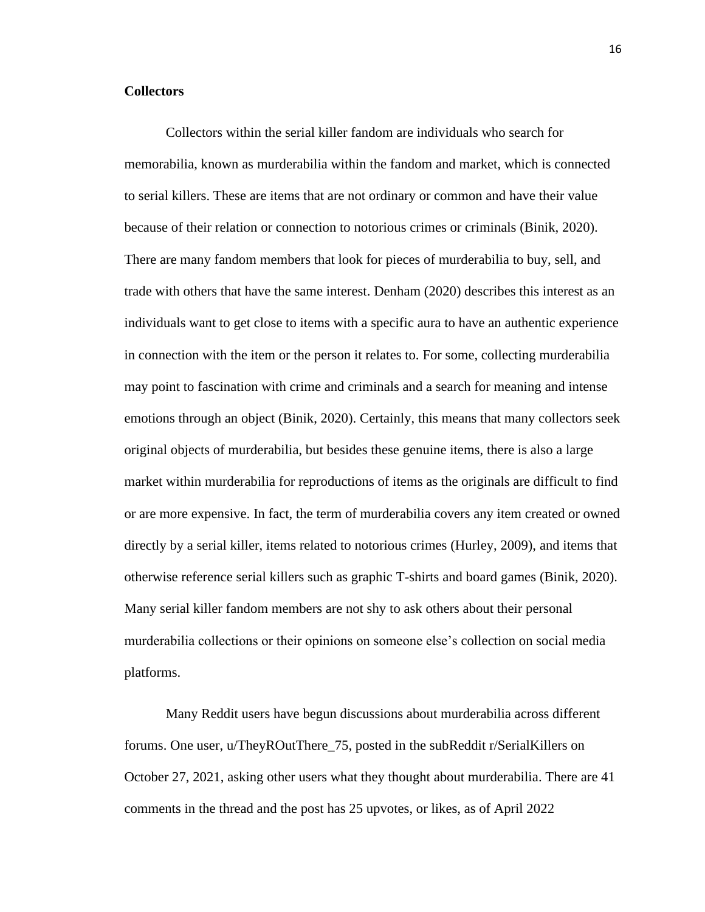# **Collectors**

Collectors within the serial killer fandom are individuals who search for memorabilia, known as murderabilia within the fandom and market, which is connected to serial killers. These are items that are not ordinary or common and have their value because of their relation or connection to notorious crimes or criminals (Binik, 2020). There are many fandom members that look for pieces of murderabilia to buy, sell, and trade with others that have the same interest. Denham (2020) describes this interest as an individuals want to get close to items with a specific aura to have an authentic experience in connection with the item or the person it relates to. For some, collecting murderabilia may point to fascination with crime and criminals and a search for meaning and intense emotions through an object (Binik, 2020). Certainly, this means that many collectors seek original objects of murderabilia, but besides these genuine items, there is also a large market within murderabilia for reproductions of items as the originals are difficult to find or are more expensive. In fact, the term of murderabilia covers any item created or owned directly by a serial killer, items related to notorious crimes (Hurley, 2009), and items that otherwise reference serial killers such as graphic T-shirts and board games (Binik, 2020). Many serial killer fandom members are not shy to ask others about their personal murderabilia collections or their opinions on someone else's collection on social media platforms.

Many Reddit users have begun discussions about murderabilia across different forums. One user, u/TheyROutThere\_75, posted in the subReddit r/SerialKillers on October 27, 2021, asking other users what they thought about murderabilia. There are 41 comments in the thread and the post has 25 upvotes, or likes, as of April 2022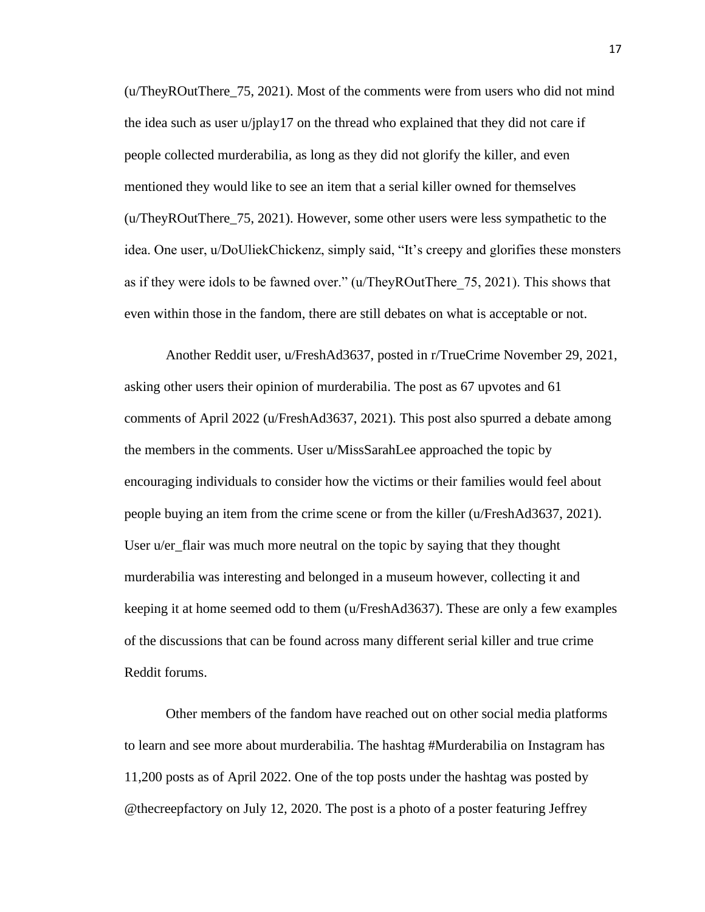(u/TheyROutThere\_75, 2021). Most of the comments were from users who did not mind the idea such as user u/jplay17 on the thread who explained that they did not care if people collected murderabilia, as long as they did not glorify the killer, and even mentioned they would like to see an item that a serial killer owned for themselves (u/TheyROutThere\_75, 2021). However, some other users were less sympathetic to the idea. One user, u/DoUliekChickenz, simply said, "It's creepy and glorifies these monsters as if they were idols to be fawned over." (u/TheyROutThere\_75, 2021). This shows that even within those in the fandom, there are still debates on what is acceptable or not.

Another Reddit user, u/FreshAd3637, posted in r/TrueCrime November 29, 2021, asking other users their opinion of murderabilia. The post as 67 upvotes and 61 comments of April 2022 (u/FreshAd3637, 2021). This post also spurred a debate among the members in the comments. User u/MissSarahLee approached the topic by encouraging individuals to consider how the victims or their families would feel about people buying an item from the crime scene or from the killer (u/FreshAd3637, 2021). User u/er\_flair was much more neutral on the topic by saying that they thought murderabilia was interesting and belonged in a museum however, collecting it and keeping it at home seemed odd to them (u/FreshAd3637). These are only a few examples of the discussions that can be found across many different serial killer and true crime Reddit forums.

Other members of the fandom have reached out on other social media platforms to learn and see more about murderabilia. The hashtag #Murderabilia on Instagram has 11,200 posts as of April 2022. One of the top posts under the hashtag was posted by @thecreepfactory on July 12, 2020. The post is a photo of a poster featuring Jeffrey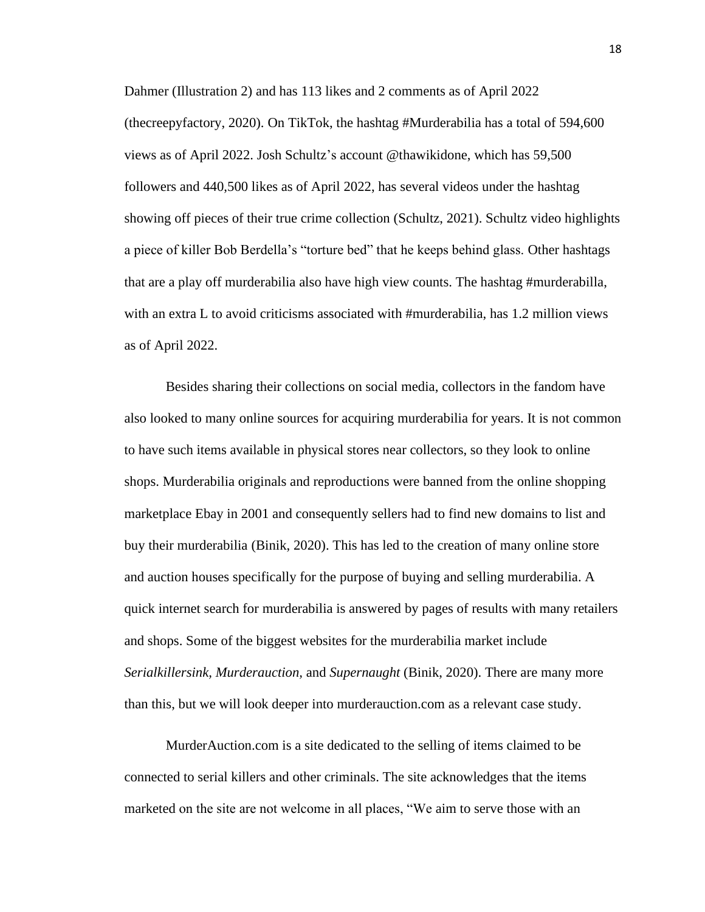Dahmer (Illustration 2) and has 113 likes and 2 comments as of April 2022 (thecreepyfactory, 2020). On TikTok, the hashtag #Murderabilia has a total of 594,600 views as of April 2022. Josh Schultz's account @thawikidone, which has 59,500 followers and 440,500 likes as of April 2022, has several videos under the hashtag showing off pieces of their true crime collection (Schultz, 2021). Schultz video highlights a piece of killer Bob Berdella's "torture bed" that he keeps behind glass. Other hashtags that are a play off murderabilia also have high view counts. The hashtag #murderabilla, with an extra L to avoid criticisms associated with #murderabilia, has 1.2 million views as of April 2022.

Besides sharing their collections on social media, collectors in the fandom have also looked to many online sources for acquiring murderabilia for years. It is not common to have such items available in physical stores near collectors, so they look to online shops. Murderabilia originals and reproductions were banned from the online shopping marketplace Ebay in 2001 and consequently sellers had to find new domains to list and buy their murderabilia (Binik, 2020). This has led to the creation of many online store and auction houses specifically for the purpose of buying and selling murderabilia. A quick internet search for murderabilia is answered by pages of results with many retailers and shops. Some of the biggest websites for the murderabilia market include *Serialkillersink, Murderauction,* and *Supernaught* (Binik, 2020). There are many more than this, but we will look deeper into murderauction.com as a relevant case study.

MurderAuction.com is a site dedicated to the selling of items claimed to be connected to serial killers and other criminals. The site acknowledges that the items marketed on the site are not welcome in all places, "We aim to serve those with an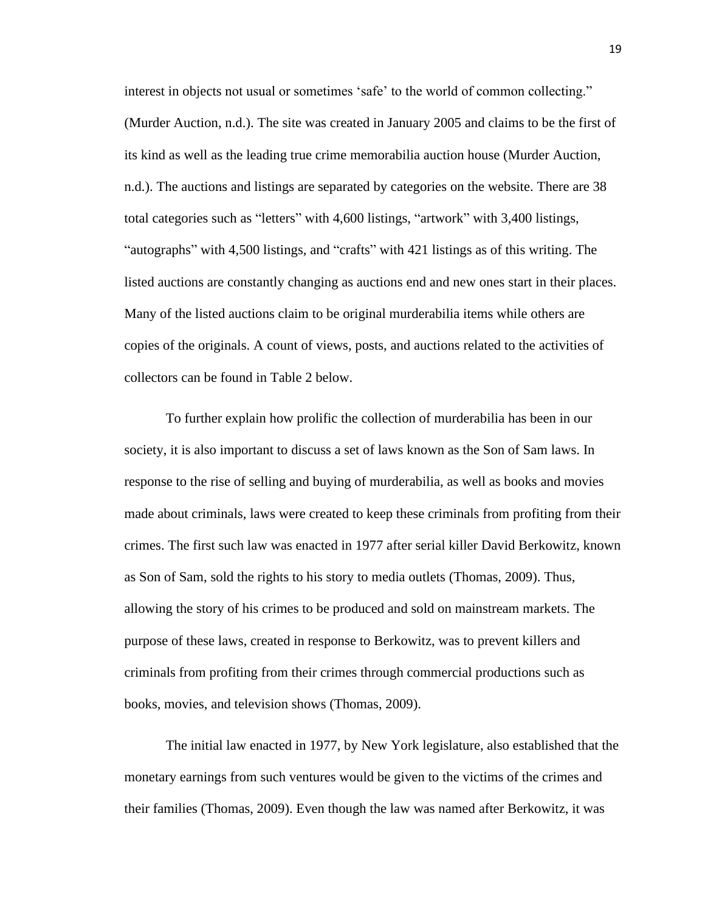interest in objects not usual or sometimes 'safe' to the world of common collecting." (Murder Auction, n.d.). The site was created in January 2005 and claims to be the first of its kind as well as the leading true crime memorabilia auction house (Murder Auction, n.d.). The auctions and listings are separated by categories on the website. There are 38 total categories such as "letters" with 4,600 listings, "artwork" with 3,400 listings, "autographs" with 4,500 listings, and "crafts" with 421 listings as of this writing. The listed auctions are constantly changing as auctions end and new ones start in their places. Many of the listed auctions claim to be original murderabilia items while others are copies of the originals. A count of views, posts, and auctions related to the activities of collectors can be found in Table 2 below.

To further explain how prolific the collection of murderabilia has been in our society, it is also important to discuss a set of laws known as the Son of Sam laws. In response to the rise of selling and buying of murderabilia, as well as books and movies made about criminals, laws were created to keep these criminals from profiting from their crimes. The first such law was enacted in 1977 after serial killer David Berkowitz, known as Son of Sam, sold the rights to his story to media outlets (Thomas, 2009). Thus, allowing the story of his crimes to be produced and sold on mainstream markets. The purpose of these laws, created in response to Berkowitz, was to prevent killers and criminals from profiting from their crimes through commercial productions such as books, movies, and television shows (Thomas, 2009).

The initial law enacted in 1977, by New York legislature, also established that the monetary earnings from such ventures would be given to the victims of the crimes and their families (Thomas, 2009). Even though the law was named after Berkowitz, it was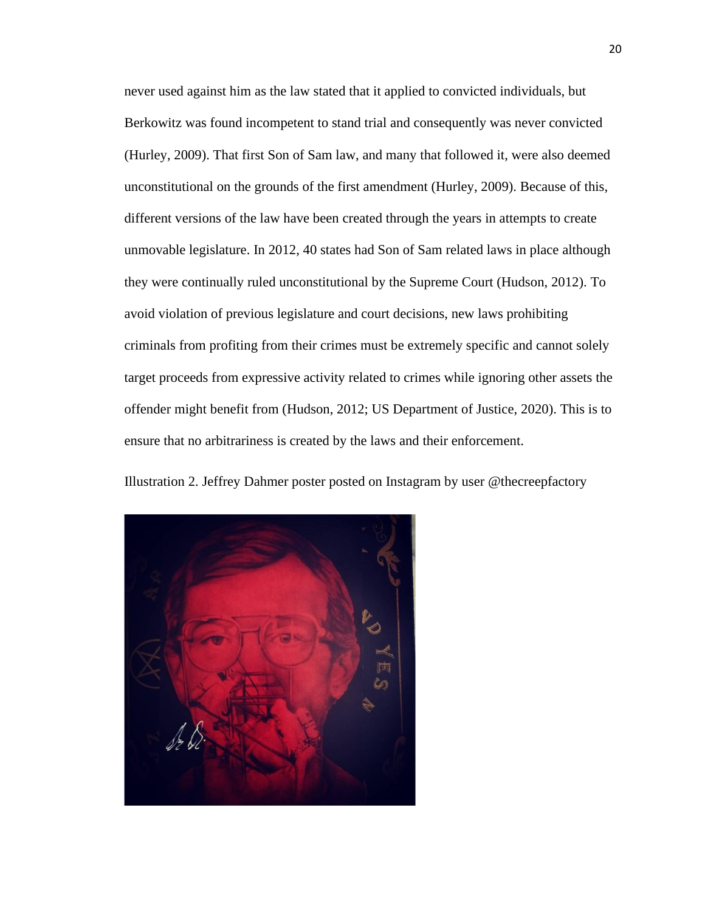never used against him as the law stated that it applied to convicted individuals, but Berkowitz was found incompetent to stand trial and consequently was never convicted (Hurley, 2009). That first Son of Sam law, and many that followed it, were also deemed unconstitutional on the grounds of the first amendment (Hurley, 2009). Because of this, different versions of the law have been created through the years in attempts to create unmovable legislature. In 2012, 40 states had Son of Sam related laws in place although they were continually ruled unconstitutional by the Supreme Court (Hudson, 2012). To avoid violation of previous legislature and court decisions, new laws prohibiting criminals from profiting from their crimes must be extremely specific and cannot solely target proceeds from expressive activity related to crimes while ignoring other assets the offender might benefit from (Hudson, 2012; US Department of Justice, 2020). This is to ensure that no arbitrariness is created by the laws and their enforcement.

Illustration 2. Jeffrey Dahmer poster posted on Instagram by user @thecreepfactory

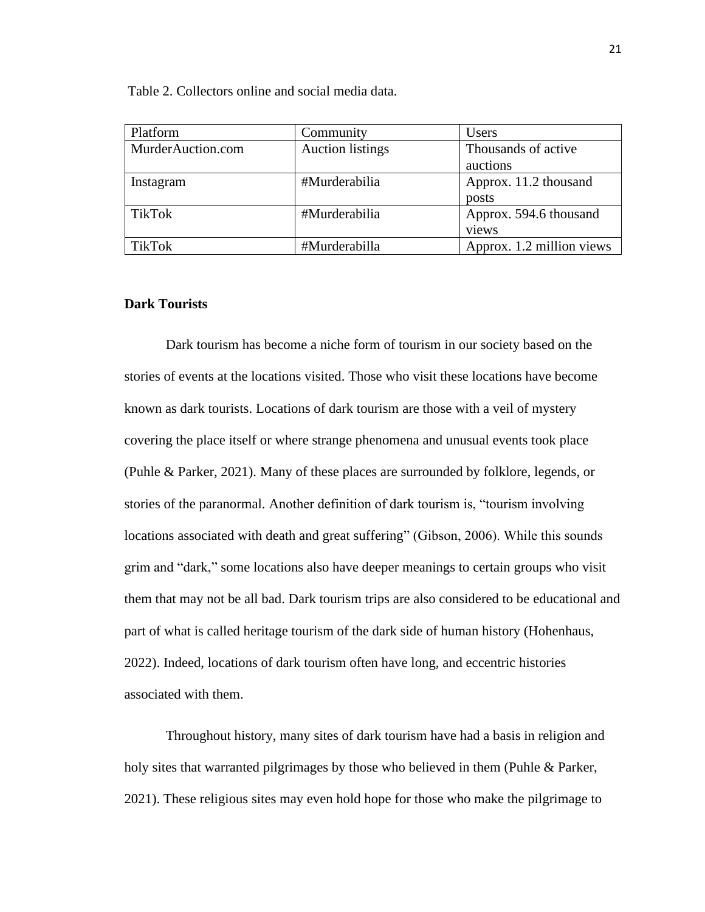| Platform          | Community               | <b>Users</b>              |
|-------------------|-------------------------|---------------------------|
| MurderAuction.com | <b>Auction</b> listings | Thousands of active       |
|                   |                         | auctions                  |
| Instagram         | #Murderabilia           | Approx. 11.2 thousand     |
|                   |                         | posts                     |
| TikTok            | #Murderabilia           | Approx. 594.6 thousand    |
|                   |                         | views                     |
| TikTok            | #Murderabilla           | Approx. 1.2 million views |

Table 2. Collectors online and social media data.

# **Dark Tourists**

Dark tourism has become a niche form of tourism in our society based on the stories of events at the locations visited. Those who visit these locations have become known as dark tourists. Locations of dark tourism are those with a veil of mystery covering the place itself or where strange phenomena and unusual events took place (Puhle & Parker, 2021). Many of these places are surrounded by folklore, legends, or stories of the paranormal. Another definition of dark tourism is, "tourism involving locations associated with death and great suffering" (Gibson, 2006). While this sounds grim and "dark," some locations also have deeper meanings to certain groups who visit them that may not be all bad. Dark tourism trips are also considered to be educational and part of what is called heritage tourism of the dark side of human history (Hohenhaus, 2022). Indeed, locations of dark tourism often have long, and eccentric histories associated with them.

Throughout history, many sites of dark tourism have had a basis in religion and holy sites that warranted pilgrimages by those who believed in them (Puhle & Parker, 2021). These religious sites may even hold hope for those who make the pilgrimage to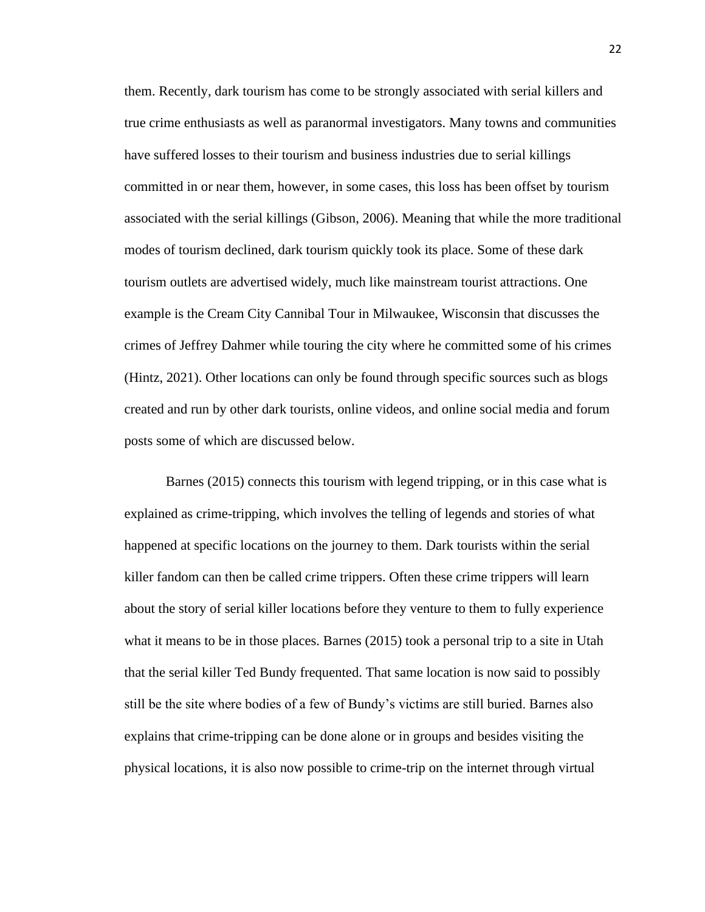them. Recently, dark tourism has come to be strongly associated with serial killers and true crime enthusiasts as well as paranormal investigators. Many towns and communities have suffered losses to their tourism and business industries due to serial killings committed in or near them, however, in some cases, this loss has been offset by tourism associated with the serial killings (Gibson, 2006). Meaning that while the more traditional modes of tourism declined, dark tourism quickly took its place. Some of these dark tourism outlets are advertised widely, much like mainstream tourist attractions. One example is the Cream City Cannibal Tour in Milwaukee, Wisconsin that discusses the crimes of Jeffrey Dahmer while touring the city where he committed some of his crimes (Hintz, 2021). Other locations can only be found through specific sources such as blogs created and run by other dark tourists, online videos, and online social media and forum posts some of which are discussed below.

Barnes (2015) connects this tourism with legend tripping, or in this case what is explained as crime-tripping, which involves the telling of legends and stories of what happened at specific locations on the journey to them. Dark tourists within the serial killer fandom can then be called crime trippers. Often these crime trippers will learn about the story of serial killer locations before they venture to them to fully experience what it means to be in those places. Barnes (2015) took a personal trip to a site in Utah that the serial killer Ted Bundy frequented. That same location is now said to possibly still be the site where bodies of a few of Bundy's victims are still buried. Barnes also explains that crime-tripping can be done alone or in groups and besides visiting the physical locations, it is also now possible to crime-trip on the internet through virtual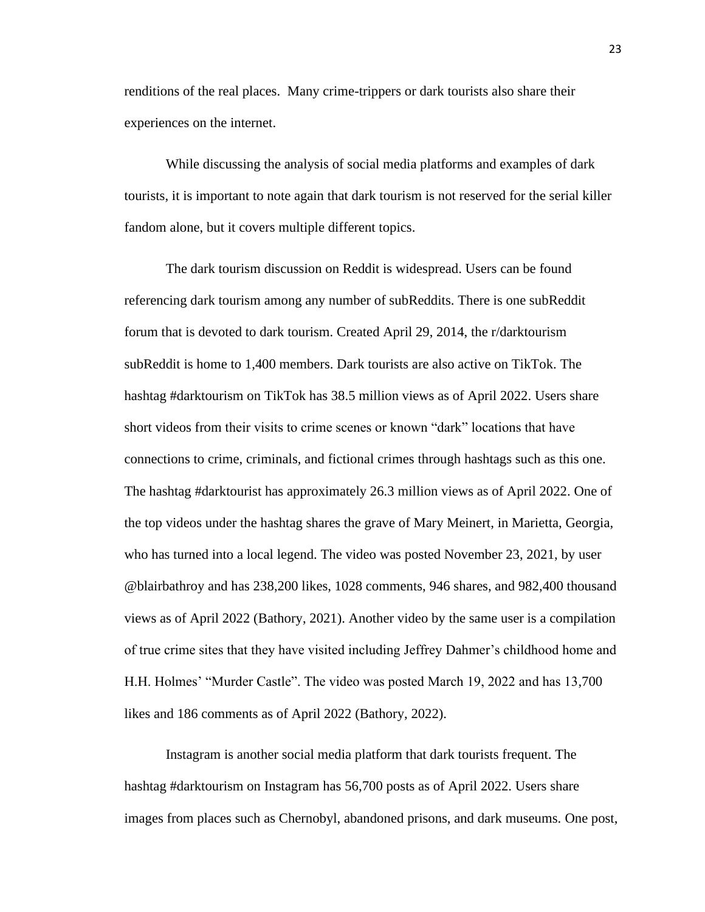renditions of the real places. Many crime-trippers or dark tourists also share their experiences on the internet.

While discussing the analysis of social media platforms and examples of dark tourists, it is important to note again that dark tourism is not reserved for the serial killer fandom alone, but it covers multiple different topics.

The dark tourism discussion on Reddit is widespread. Users can be found referencing dark tourism among any number of subReddits. There is one subReddit forum that is devoted to dark tourism. Created April 29, 2014, the r/darktourism subReddit is home to 1,400 members. Dark tourists are also active on TikTok. The hashtag #darktourism on TikTok has 38.5 million views as of April 2022. Users share short videos from their visits to crime scenes or known "dark" locations that have connections to crime, criminals, and fictional crimes through hashtags such as this one. The hashtag #darktourist has approximately 26.3 million views as of April 2022. One of the top videos under the hashtag shares the grave of Mary Meinert, in Marietta, Georgia, who has turned into a local legend. The video was posted November 23, 2021, by user @blairbathroy and has 238,200 likes, 1028 comments, 946 shares, and 982,400 thousand views as of April 2022 (Bathory, 2021). Another video by the same user is a compilation of true crime sites that they have visited including Jeffrey Dahmer's childhood home and H.H. Holmes' "Murder Castle". The video was posted March 19, 2022 and has 13,700 likes and 186 comments as of April 2022 (Bathory, 2022).

Instagram is another social media platform that dark tourists frequent. The hashtag #darktourism on Instagram has 56,700 posts as of April 2022. Users share images from places such as Chernobyl, abandoned prisons, and dark museums. One post,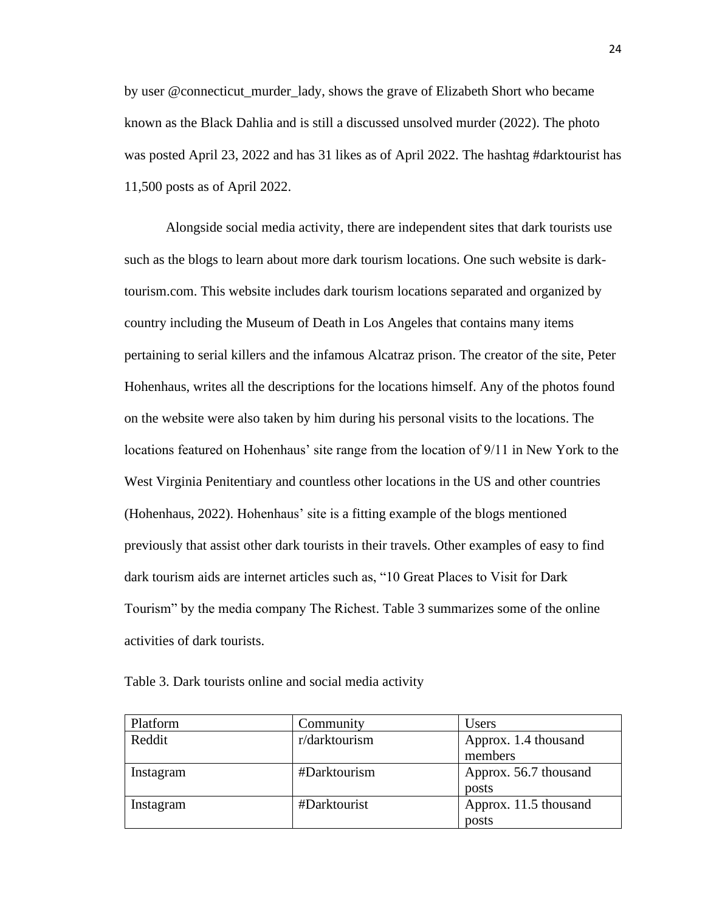by user @connecticut\_murder\_lady, shows the grave of Elizabeth Short who became known as the Black Dahlia and is still a discussed unsolved murder (2022). The photo was posted April 23, 2022 and has 31 likes as of April 2022. The hashtag #darktourist has 11,500 posts as of April 2022.

Alongside social media activity, there are independent sites that dark tourists use such as the blogs to learn about more dark tourism locations. One such website is darktourism.com. This website includes dark tourism locations separated and organized by country including the Museum of Death in Los Angeles that contains many items pertaining to serial killers and the infamous Alcatraz prison. The creator of the site, Peter Hohenhaus, writes all the descriptions for the locations himself. Any of the photos found on the website were also taken by him during his personal visits to the locations. The locations featured on Hohenhaus' site range from the location of 9/11 in New York to the West Virginia Penitentiary and countless other locations in the US and other countries (Hohenhaus, 2022). Hohenhaus' site is a fitting example of the blogs mentioned previously that assist other dark tourists in their travels. Other examples of easy to find dark tourism aids are internet articles such as, "10 Great Places to Visit for Dark Tourism" by the media company The Richest. Table 3 summarizes some of the online activities of dark tourists.

Table 3. Dark tourists online and social media activity

| Platform  | Community     | Users                 |
|-----------|---------------|-----------------------|
| Reddit    | r/darktourism | Approx. 1.4 thousand  |
|           |               | members               |
| Instagram | #Darktourism  | Approx. 56.7 thousand |
|           |               | posts                 |
| Instagram | #Darktourist  | Approx. 11.5 thousand |
|           |               | posts                 |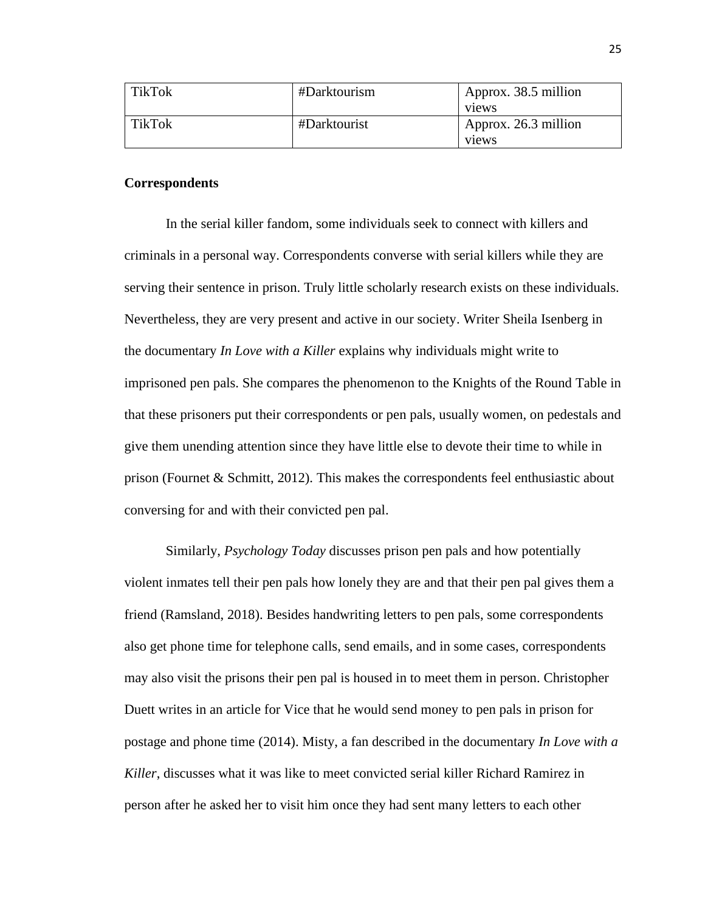| <b>TikTok</b> | #Darktourism | Approx. 38.5 million<br>views |
|---------------|--------------|-------------------------------|
| TikTok        | #Darktourist | Approx. 26.3 million<br>views |

# **Correspondents**

In the serial killer fandom, some individuals seek to connect with killers and criminals in a personal way. Correspondents converse with serial killers while they are serving their sentence in prison. Truly little scholarly research exists on these individuals. Nevertheless, they are very present and active in our society. Writer Sheila Isenberg in the documentary *In Love with a Killer* explains why individuals might write to imprisoned pen pals. She compares the phenomenon to the Knights of the Round Table in that these prisoners put their correspondents or pen pals, usually women, on pedestals and give them unending attention since they have little else to devote their time to while in prison (Fournet & Schmitt, 2012). This makes the correspondents feel enthusiastic about conversing for and with their convicted pen pal.

Similarly, *Psychology Today* discusses prison pen pals and how potentially violent inmates tell their pen pals how lonely they are and that their pen pal gives them a friend (Ramsland, 2018). Besides handwriting letters to pen pals, some correspondents also get phone time for telephone calls, send emails, and in some cases, correspondents may also visit the prisons their pen pal is housed in to meet them in person. Christopher Duett writes in an article for Vice that he would send money to pen pals in prison for postage and phone time (2014). Misty, a fan described in the documentary *In Love with a Killer*, discusses what it was like to meet convicted serial killer Richard Ramirez in person after he asked her to visit him once they had sent many letters to each other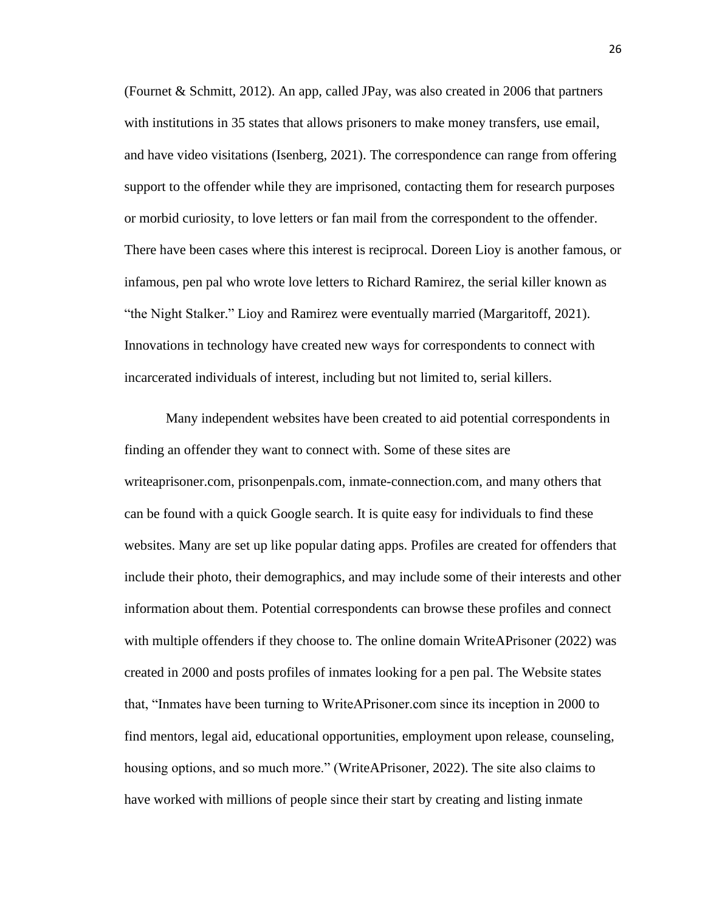(Fournet & Schmitt, 2012). An app, called JPay, was also created in 2006 that partners with institutions in 35 states that allows prisoners to make money transfers, use email, and have video visitations (Isenberg, 2021). The correspondence can range from offering support to the offender while they are imprisoned, contacting them for research purposes or morbid curiosity, to love letters or fan mail from the correspondent to the offender. There have been cases where this interest is reciprocal. Doreen Lioy is another famous, or infamous, pen pal who wrote love letters to Richard Ramirez, the serial killer known as "the Night Stalker." Lioy and Ramirez were eventually married (Margaritoff, 2021). Innovations in technology have created new ways for correspondents to connect with incarcerated individuals of interest, including but not limited to, serial killers.

Many independent websites have been created to aid potential correspondents in finding an offender they want to connect with. Some of these sites are writeaprisoner.com, prisonpenpals.com, inmate-connection.com, and many others that can be found with a quick Google search. It is quite easy for individuals to find these websites. Many are set up like popular dating apps. Profiles are created for offenders that include their photo, their demographics, and may include some of their interests and other information about them. Potential correspondents can browse these profiles and connect with multiple offenders if they choose to. The online domain WriteAPrisoner (2022) was created in 2000 and posts profiles of inmates looking for a pen pal. The Website states that, "Inmates have been turning to WriteAPrisoner.com since its inception in 2000 to find mentors, legal aid, educational opportunities, employment upon release, counseling, housing options, and so much more." (WriteAPrisoner, 2022). The site also claims to have worked with millions of people since their start by creating and listing inmate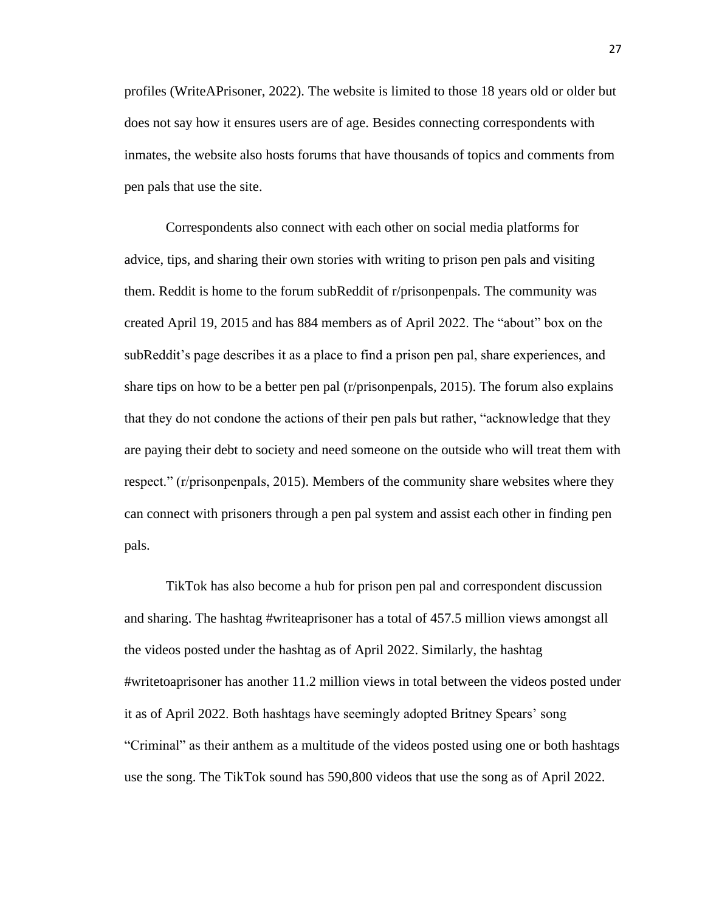profiles (WriteAPrisoner, 2022). The website is limited to those 18 years old or older but does not say how it ensures users are of age. Besides connecting correspondents with inmates, the website also hosts forums that have thousands of topics and comments from pen pals that use the site.

Correspondents also connect with each other on social media platforms for advice, tips, and sharing their own stories with writing to prison pen pals and visiting them. Reddit is home to the forum subReddit of r/prisonpenpals. The community was created April 19, 2015 and has 884 members as of April 2022. The "about" box on the subReddit's page describes it as a place to find a prison pen pal, share experiences, and share tips on how to be a better pen pal (r/prisonpenpals, 2015). The forum also explains that they do not condone the actions of their pen pals but rather, "acknowledge that they are paying their debt to society and need someone on the outside who will treat them with respect." (r/prisonpenpals, 2015). Members of the community share websites where they can connect with prisoners through a pen pal system and assist each other in finding pen pals.

TikTok has also become a hub for prison pen pal and correspondent discussion and sharing. The hashtag #writeaprisoner has a total of 457.5 million views amongst all the videos posted under the hashtag as of April 2022. Similarly, the hashtag #writetoaprisoner has another 11.2 million views in total between the videos posted under it as of April 2022. Both hashtags have seemingly adopted Britney Spears' song "Criminal" as their anthem as a multitude of the videos posted using one or both hashtags use the song. The TikTok sound has 590,800 videos that use the song as of April 2022.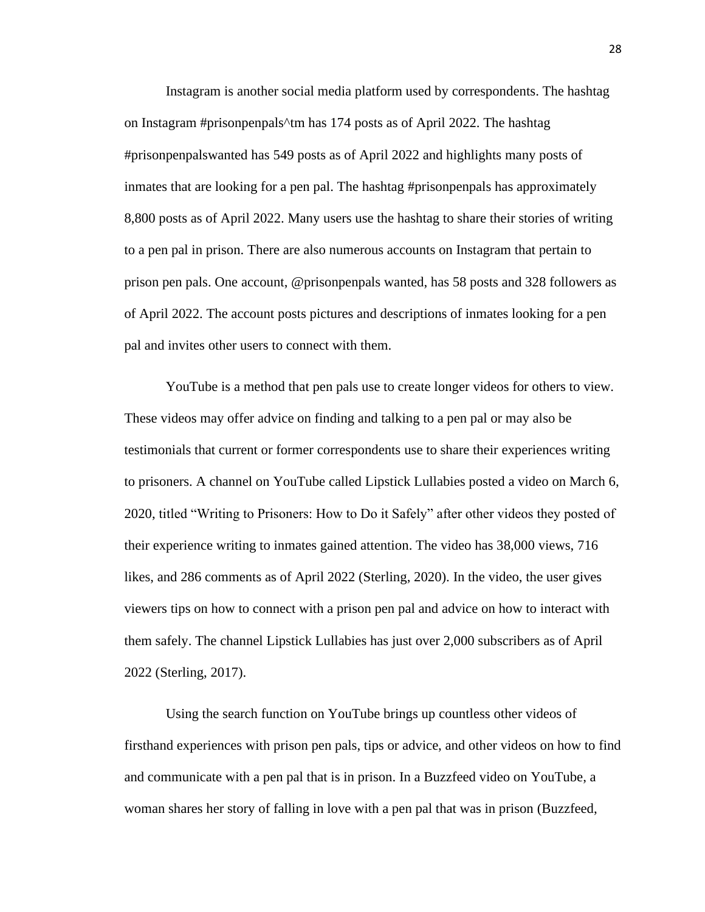Instagram is another social media platform used by correspondents. The hashtag on Instagram #prisonpenpals^tm has 174 posts as of April 2022. The hashtag #prisonpenpalswanted has 549 posts as of April 2022 and highlights many posts of inmates that are looking for a pen pal. The hashtag #prisonpenpals has approximately 8,800 posts as of April 2022. Many users use the hashtag to share their stories of writing to a pen pal in prison. There are also numerous accounts on Instagram that pertain to prison pen pals. One account, @prisonpenpals wanted, has 58 posts and 328 followers as of April 2022. The account posts pictures and descriptions of inmates looking for a pen pal and invites other users to connect with them.

YouTube is a method that pen pals use to create longer videos for others to view. These videos may offer advice on finding and talking to a pen pal or may also be testimonials that current or former correspondents use to share their experiences writing to prisoners. A channel on YouTube called Lipstick Lullabies posted a video on March 6, 2020, titled "Writing to Prisoners: How to Do it Safely" after other videos they posted of their experience writing to inmates gained attention. The video has 38,000 views, 716 likes, and 286 comments as of April 2022 (Sterling, 2020). In the video, the user gives viewers tips on how to connect with a prison pen pal and advice on how to interact with them safely. The channel Lipstick Lullabies has just over 2,000 subscribers as of April 2022 (Sterling, 2017).

Using the search function on YouTube brings up countless other videos of firsthand experiences with prison pen pals, tips or advice, and other videos on how to find and communicate with a pen pal that is in prison. In a Buzzfeed video on YouTube, a woman shares her story of falling in love with a pen pal that was in prison (Buzzfeed,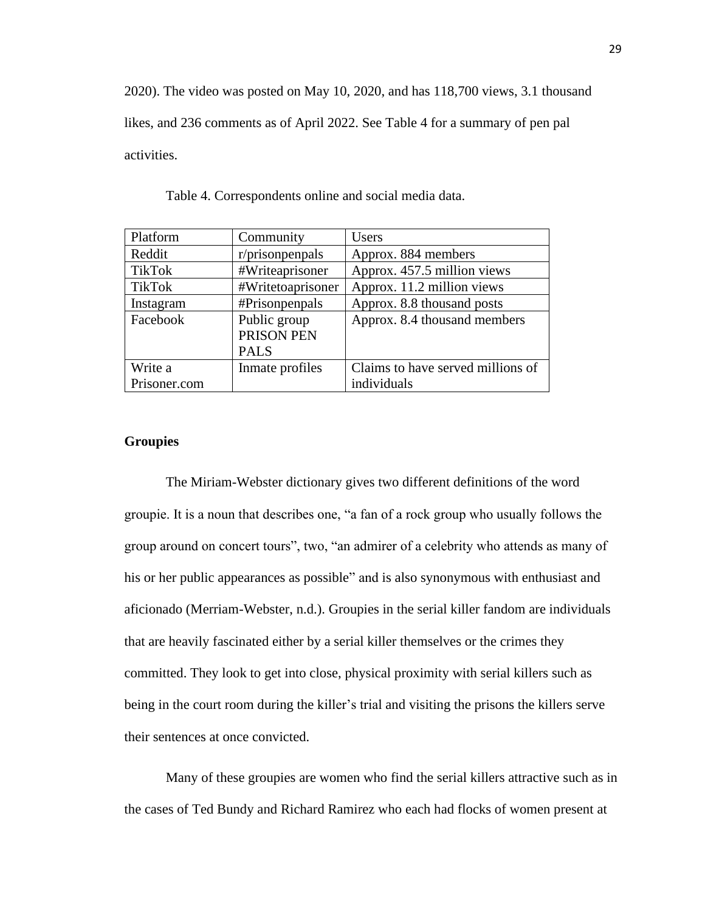2020). The video was posted on May 10, 2020, and has 118,700 views, 3.1 thousand likes, and 236 comments as of April 2022. See Table 4 for a summary of pen pal activities.

| Platform      | Community         | <b>Users</b>                      |
|---------------|-------------------|-----------------------------------|
| Reddit        | r/prisonpenpals   | Approx. 884 members               |
| <b>TikTok</b> | #Writeaprisoner   | Approx. 457.5 million views       |
| <b>TikTok</b> | #Writetoaprisoner | Approx. 11.2 million views        |
| Instagram     | #Prisonpenpals    | Approx. 8.8 thousand posts        |
| Facebook      | Public group      | Approx. 8.4 thousand members      |
|               | PRISON PEN        |                                   |
|               | <b>PALS</b>       |                                   |
| Write a       | Inmate profiles   | Claims to have served millions of |
| Prisoner.com  |                   | individuals                       |

Table 4. Correspondents online and social media data.

# **Groupies**

The Miriam-Webster dictionary gives two different definitions of the word groupie. It is a noun that describes one, "a fan of a rock group who usually follows the group around on concert tours", two, "an admirer of a celebrity who attends as many of his or her public appearances as possible" and is also synonymous with enthusiast and aficionado (Merriam-Webster, n.d.). Groupies in the serial killer fandom are individuals that are heavily fascinated either by a serial killer themselves or the crimes they committed. They look to get into close, physical proximity with serial killers such as being in the court room during the killer's trial and visiting the prisons the killers serve their sentences at once convicted.

Many of these groupies are women who find the serial killers attractive such as in the cases of Ted Bundy and Richard Ramirez who each had flocks of women present at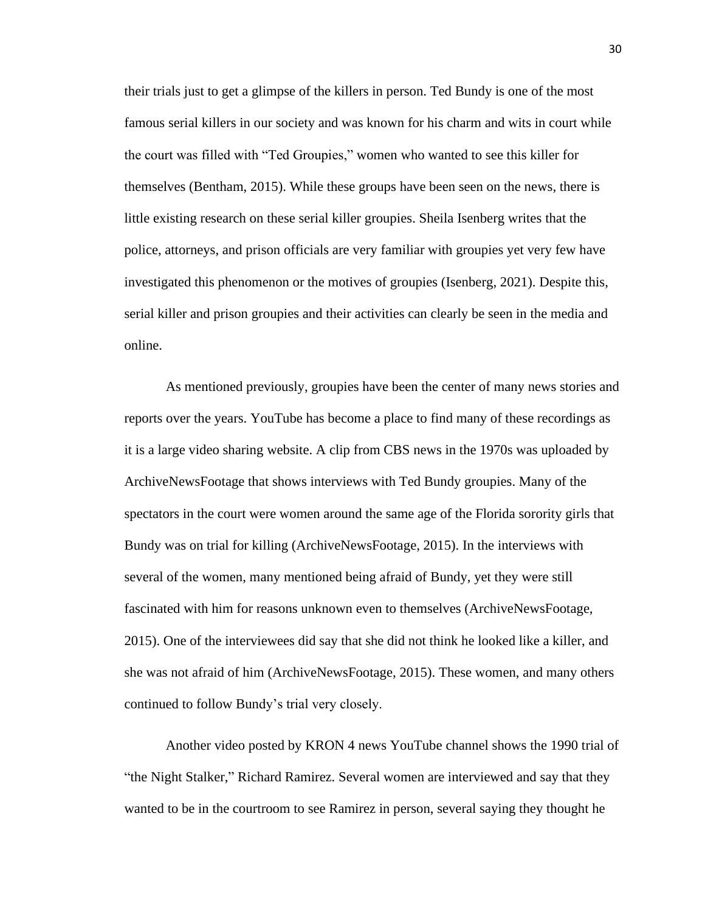their trials just to get a glimpse of the killers in person. Ted Bundy is one of the most famous serial killers in our society and was known for his charm and wits in court while the court was filled with "Ted Groupies," women who wanted to see this killer for themselves (Bentham, 2015). While these groups have been seen on the news, there is little existing research on these serial killer groupies. Sheila Isenberg writes that the police, attorneys, and prison officials are very familiar with groupies yet very few have investigated this phenomenon or the motives of groupies (Isenberg, 2021). Despite this, serial killer and prison groupies and their activities can clearly be seen in the media and online.

As mentioned previously, groupies have been the center of many news stories and reports over the years. YouTube has become a place to find many of these recordings as it is a large video sharing website. A clip from CBS news in the 1970s was uploaded by ArchiveNewsFootage that shows interviews with Ted Bundy groupies. Many of the spectators in the court were women around the same age of the Florida sorority girls that Bundy was on trial for killing (ArchiveNewsFootage, 2015). In the interviews with several of the women, many mentioned being afraid of Bundy, yet they were still fascinated with him for reasons unknown even to themselves (ArchiveNewsFootage, 2015). One of the interviewees did say that she did not think he looked like a killer, and she was not afraid of him (ArchiveNewsFootage, 2015). These women, and many others continued to follow Bundy's trial very closely.

Another video posted by KRON 4 news YouTube channel shows the 1990 trial of "the Night Stalker," Richard Ramirez. Several women are interviewed and say that they wanted to be in the courtroom to see Ramirez in person, several saying they thought he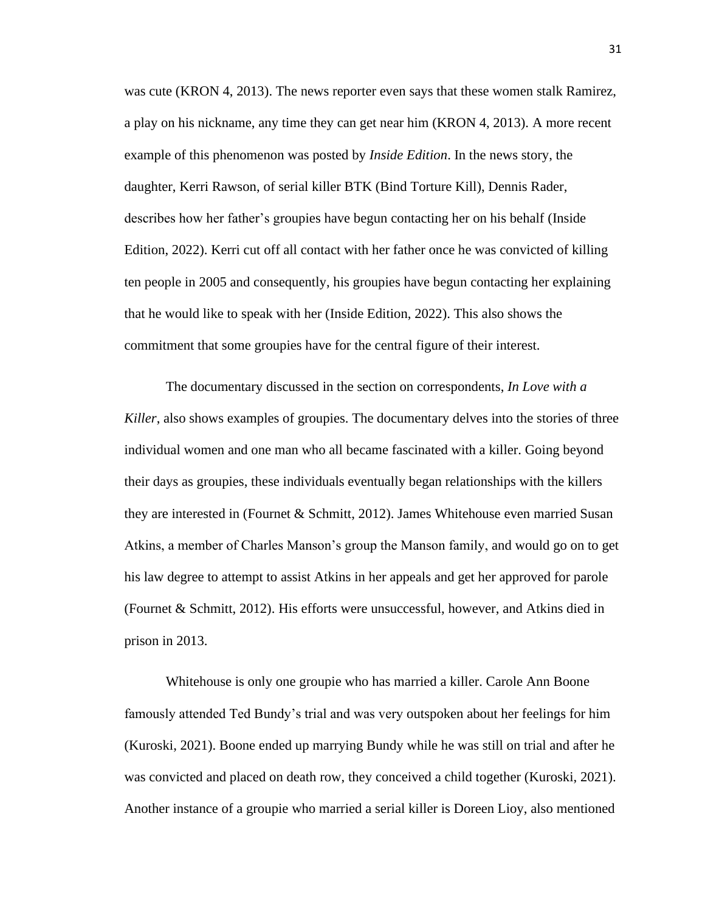was cute (KRON 4, 2013). The news reporter even says that these women stalk Ramirez, a play on his nickname, any time they can get near him (KRON 4, 2013). A more recent example of this phenomenon was posted by *Inside Edition*. In the news story, the daughter, Kerri Rawson, of serial killer BTK (Bind Torture Kill), Dennis Rader, describes how her father's groupies have begun contacting her on his behalf (Inside Edition, 2022). Kerri cut off all contact with her father once he was convicted of killing ten people in 2005 and consequently, his groupies have begun contacting her explaining that he would like to speak with her (Inside Edition, 2022). This also shows the commitment that some groupies have for the central figure of their interest.

The documentary discussed in the section on correspondents, *In Love with a Killer*, also shows examples of groupies. The documentary delves into the stories of three individual women and one man who all became fascinated with a killer. Going beyond their days as groupies, these individuals eventually began relationships with the killers they are interested in (Fournet & Schmitt, 2012). James Whitehouse even married Susan Atkins, a member of Charles Manson's group the Manson family, and would go on to get his law degree to attempt to assist Atkins in her appeals and get her approved for parole (Fournet & Schmitt, 2012). His efforts were unsuccessful, however, and Atkins died in prison in 2013.

Whitehouse is only one groupie who has married a killer. Carole Ann Boone famously attended Ted Bundy's trial and was very outspoken about her feelings for him (Kuroski, 2021). Boone ended up marrying Bundy while he was still on trial and after he was convicted and placed on death row, they conceived a child together (Kuroski, 2021). Another instance of a groupie who married a serial killer is Doreen Lioy, also mentioned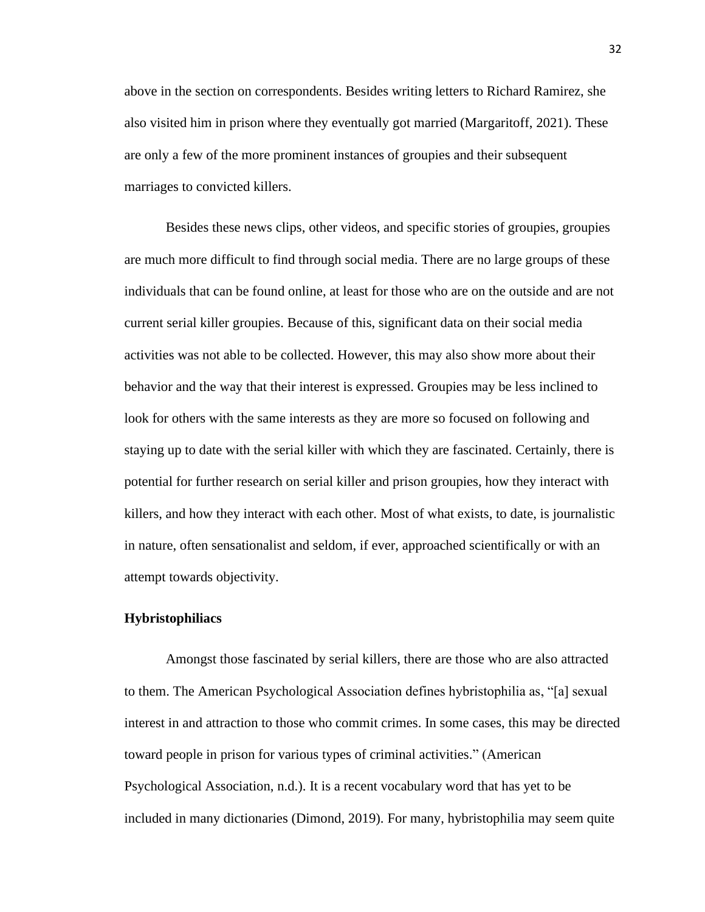above in the section on correspondents. Besides writing letters to Richard Ramirez, she also visited him in prison where they eventually got married (Margaritoff, 2021). These are only a few of the more prominent instances of groupies and their subsequent marriages to convicted killers.

Besides these news clips, other videos, and specific stories of groupies, groupies are much more difficult to find through social media. There are no large groups of these individuals that can be found online, at least for those who are on the outside and are not current serial killer groupies. Because of this, significant data on their social media activities was not able to be collected. However, this may also show more about their behavior and the way that their interest is expressed. Groupies may be less inclined to look for others with the same interests as they are more so focused on following and staying up to date with the serial killer with which they are fascinated. Certainly, there is potential for further research on serial killer and prison groupies, how they interact with killers, and how they interact with each other. Most of what exists, to date, is journalistic in nature, often sensationalist and seldom, if ever, approached scientifically or with an attempt towards objectivity.

#### **Hybristophiliacs**

Amongst those fascinated by serial killers, there are those who are also attracted to them. The American Psychological Association defines hybristophilia as, "[a] sexual interest in and attraction to those who commit crimes. In some cases, this may be directed toward people in prison for various types of criminal activities." (American Psychological Association, n.d.). It is a recent vocabulary word that has yet to be included in many dictionaries (Dimond, 2019). For many, hybristophilia may seem quite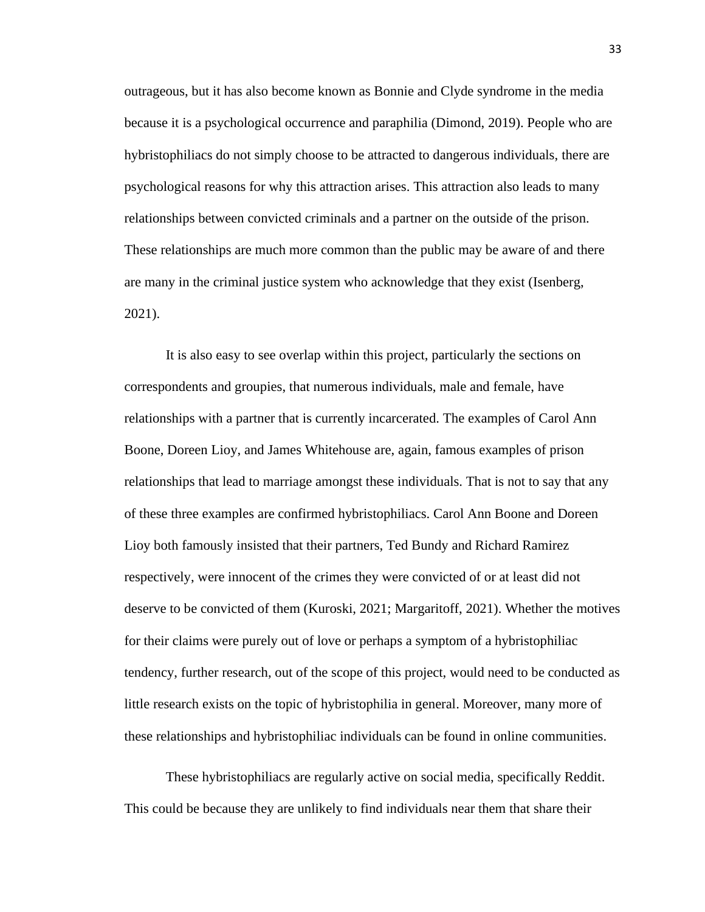outrageous, but it has also become known as Bonnie and Clyde syndrome in the media because it is a psychological occurrence and paraphilia (Dimond, 2019). People who are hybristophiliacs do not simply choose to be attracted to dangerous individuals, there are psychological reasons for why this attraction arises. This attraction also leads to many relationships between convicted criminals and a partner on the outside of the prison. These relationships are much more common than the public may be aware of and there are many in the criminal justice system who acknowledge that they exist (Isenberg, 2021).

It is also easy to see overlap within this project, particularly the sections on correspondents and groupies, that numerous individuals, male and female, have relationships with a partner that is currently incarcerated. The examples of Carol Ann Boone, Doreen Lioy, and James Whitehouse are, again, famous examples of prison relationships that lead to marriage amongst these individuals. That is not to say that any of these three examples are confirmed hybristophiliacs. Carol Ann Boone and Doreen Lioy both famously insisted that their partners, Ted Bundy and Richard Ramirez respectively, were innocent of the crimes they were convicted of or at least did not deserve to be convicted of them (Kuroski, 2021; Margaritoff, 2021). Whether the motives for their claims were purely out of love or perhaps a symptom of a hybristophiliac tendency, further research, out of the scope of this project, would need to be conducted as little research exists on the topic of hybristophilia in general. Moreover, many more of these relationships and hybristophiliac individuals can be found in online communities.

These hybristophiliacs are regularly active on social media, specifically Reddit. This could be because they are unlikely to find individuals near them that share their

33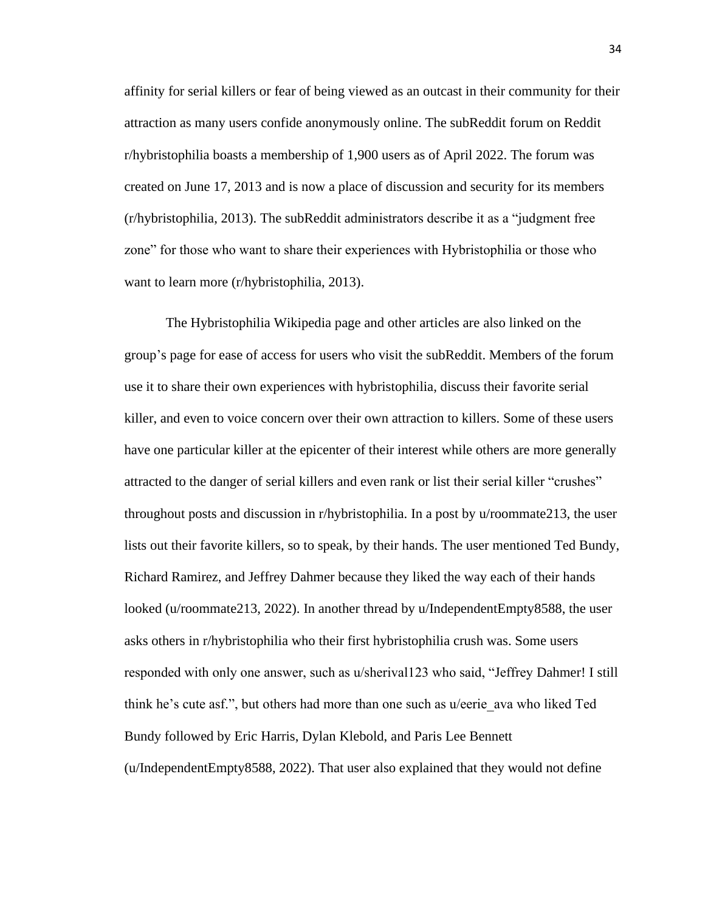affinity for serial killers or fear of being viewed as an outcast in their community for their attraction as many users confide anonymously online. The subReddit forum on Reddit r/hybristophilia boasts a membership of 1,900 users as of April 2022. The forum was created on June 17, 2013 and is now a place of discussion and security for its members (r/hybristophilia, 2013). The subReddit administrators describe it as a "judgment free zone" for those who want to share their experiences with Hybristophilia or those who want to learn more (r/hybristophilia, 2013).

The Hybristophilia Wikipedia page and other articles are also linked on the group's page for ease of access for users who visit the subReddit. Members of the forum use it to share their own experiences with hybristophilia, discuss their favorite serial killer, and even to voice concern over their own attraction to killers. Some of these users have one particular killer at the epicenter of their interest while others are more generally attracted to the danger of serial killers and even rank or list their serial killer "crushes" throughout posts and discussion in r/hybristophilia. In a post by u/roommate213, the user lists out their favorite killers, so to speak, by their hands. The user mentioned Ted Bundy, Richard Ramirez, and Jeffrey Dahmer because they liked the way each of their hands looked (u/roommate213, 2022). In another thread by u/IndependentEmpty8588, the user asks others in r/hybristophilia who their first hybristophilia crush was. Some users responded with only one answer, such as u/sherival123 who said, "Jeffrey Dahmer! I still think he's cute asf.", but others had more than one such as u/eerie\_ava who liked Ted Bundy followed by Eric Harris, Dylan Klebold, and Paris Lee Bennett (u/IndependentEmpty8588, 2022). That user also explained that they would not define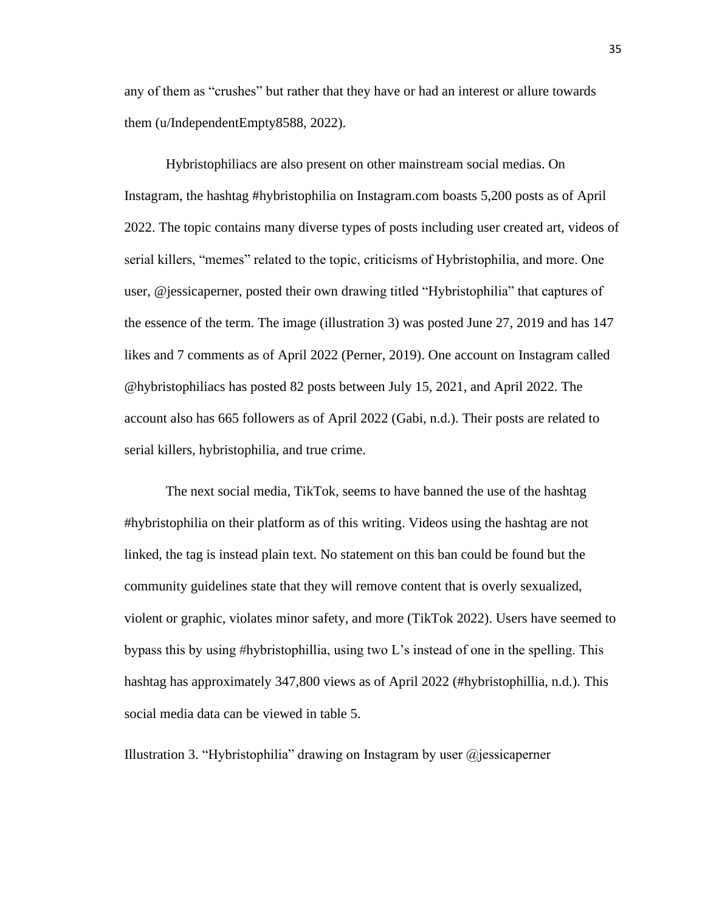any of them as "crushes" but rather that they have or had an interest or allure towards them (u/IndependentEmpty8588, 2022).

Hybristophiliacs are also present on other mainstream social medias. On Instagram, the hashtag #hybristophilia on Instagram.com boasts 5,200 posts as of April 2022. The topic contains many diverse types of posts including user created art, videos of serial killers, "memes" related to the topic, criticisms of Hybristophilia, and more. One user, @jessicaperner, posted their own drawing titled "Hybristophilia" that captures of the essence of the term. The image (illustration 3) was posted June 27, 2019 and has 147 likes and 7 comments as of April 2022 (Perner, 2019). One account on Instagram called @hybristophiliacs has posted 82 posts between July 15, 2021, and April 2022. The account also has 665 followers as of April 2022 (Gabi, n.d.). Their posts are related to serial killers, hybristophilia, and true crime.

The next social media, TikTok, seems to have banned the use of the hashtag #hybristophilia on their platform as of this writing. Videos using the hashtag are not linked, the tag is instead plain text. No statement on this ban could be found but the community guidelines state that they will remove content that is overly sexualized, violent or graphic, violates minor safety, and more (TikTok 2022). Users have seemed to bypass this by using #hybristophillia, using two L's instead of one in the spelling. This hashtag has approximately 347,800 views as of April 2022 (#hybristophillia, n.d.). This social media data can be viewed in table 5.

Illustration 3. "Hybristophilia" drawing on Instagram by user  $\omega$  jessicaperner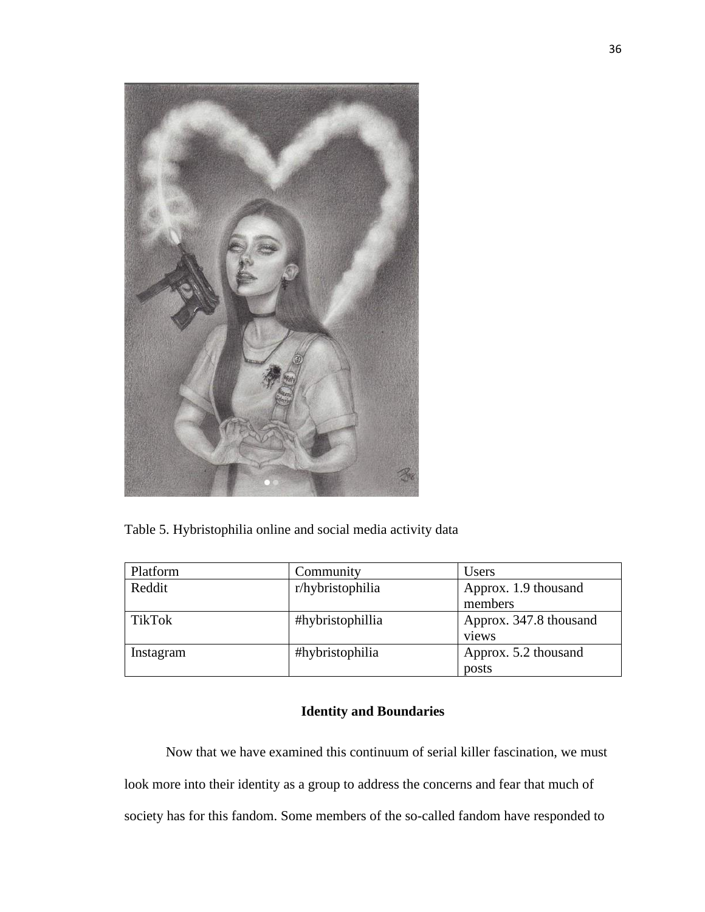

Table 5. Hybristophilia online and social media activity data

| Platform      | Community        | Users                  |
|---------------|------------------|------------------------|
| Reddit        | r/hybristophilia | Approx. 1.9 thousand   |
|               |                  | members                |
| <b>TikTok</b> | #hybristophillia | Approx. 347.8 thousand |
|               |                  | views                  |
| Instagram     | #hybristophilia  | Approx. 5.2 thousand   |
|               |                  | posts                  |

# **Identity and Boundaries**

Now that we have examined this continuum of serial killer fascination, we must look more into their identity as a group to address the concerns and fear that much of society has for this fandom. Some members of the so-called fandom have responded to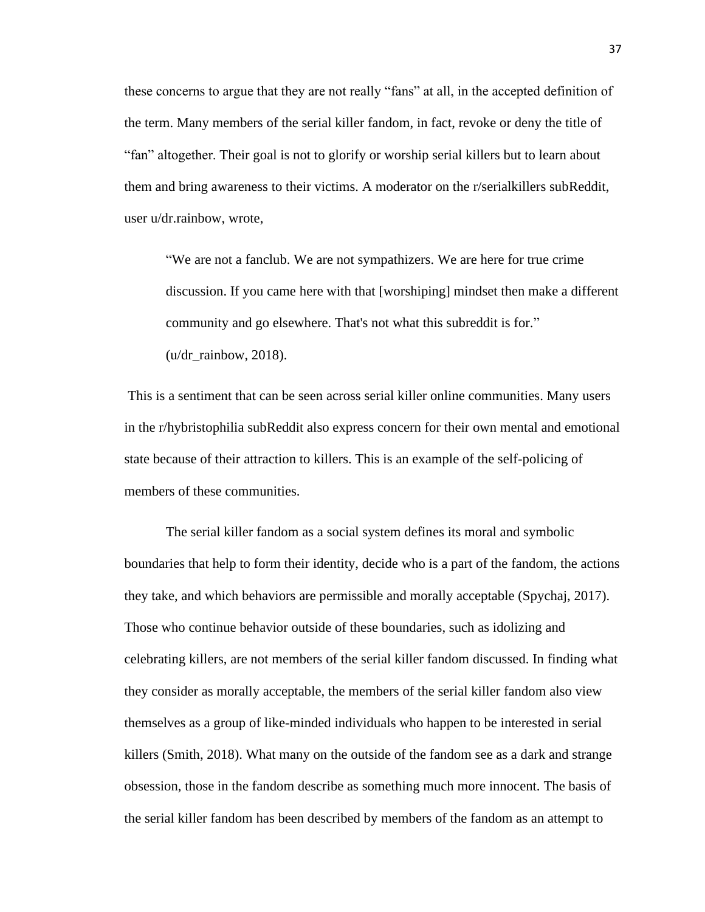these concerns to argue that they are not really "fans" at all, in the accepted definition of the term. Many members of the serial killer fandom, in fact, revoke or deny the title of "fan" altogether. Their goal is not to glorify or worship serial killers but to learn about them and bring awareness to their victims. A moderator on the r/serialkillers subReddit, user u/dr.rainbow, wrote,

"We are not a fanclub. We are not sympathizers. We are here for true crime discussion. If you came here with that [worshiping] mindset then make a different community and go elsewhere. That's not what this subreddit is for." (u/dr\_rainbow, 2018).

This is a sentiment that can be seen across serial killer online communities. Many users in the r/hybristophilia subReddit also express concern for their own mental and emotional state because of their attraction to killers. This is an example of the self-policing of members of these communities.

The serial killer fandom as a social system defines its moral and symbolic boundaries that help to form their identity, decide who is a part of the fandom, the actions they take, and which behaviors are permissible and morally acceptable (Spychaj, 2017). Those who continue behavior outside of these boundaries, such as idolizing and celebrating killers, are not members of the serial killer fandom discussed. In finding what they consider as morally acceptable, the members of the serial killer fandom also view themselves as a group of like-minded individuals who happen to be interested in serial killers (Smith, 2018). What many on the outside of the fandom see as a dark and strange obsession, those in the fandom describe as something much more innocent. The basis of the serial killer fandom has been described by members of the fandom as an attempt to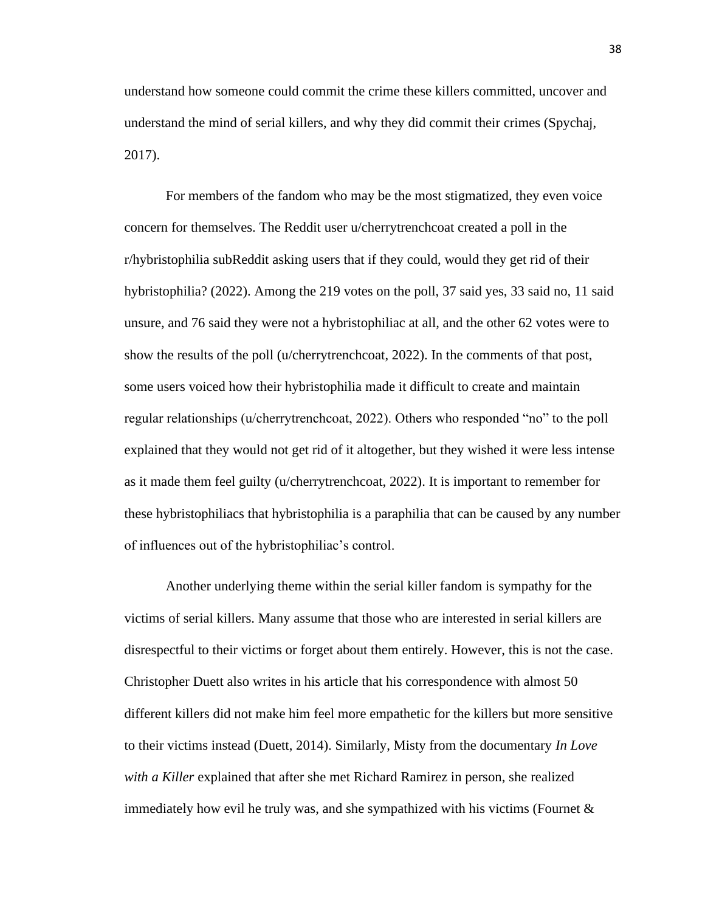understand how someone could commit the crime these killers committed, uncover and understand the mind of serial killers, and why they did commit their crimes (Spychaj, 2017).

For members of the fandom who may be the most stigmatized, they even voice concern for themselves. The Reddit user u/cherrytrenchcoat created a poll in the r/hybristophilia subReddit asking users that if they could, would they get rid of their hybristophilia? (2022). Among the 219 votes on the poll, 37 said yes, 33 said no, 11 said unsure, and 76 said they were not a hybristophiliac at all, and the other 62 votes were to show the results of the poll (u/cherrytrenchcoat, 2022). In the comments of that post, some users voiced how their hybristophilia made it difficult to create and maintain regular relationships (u/cherrytrenchcoat, 2022). Others who responded "no" to the poll explained that they would not get rid of it altogether, but they wished it were less intense as it made them feel guilty (u/cherrytrenchcoat, 2022). It is important to remember for these hybristophiliacs that hybristophilia is a paraphilia that can be caused by any number of influences out of the hybristophiliac's control.

Another underlying theme within the serial killer fandom is sympathy for the victims of serial killers. Many assume that those who are interested in serial killers are disrespectful to their victims or forget about them entirely. However, this is not the case. Christopher Duett also writes in his article that his correspondence with almost 50 different killers did not make him feel more empathetic for the killers but more sensitive to their victims instead (Duett, 2014). Similarly, Misty from the documentary *In Love with a Killer* explained that after she met Richard Ramirez in person, she realized immediately how evil he truly was, and she sympathized with his victims (Fournet  $\&$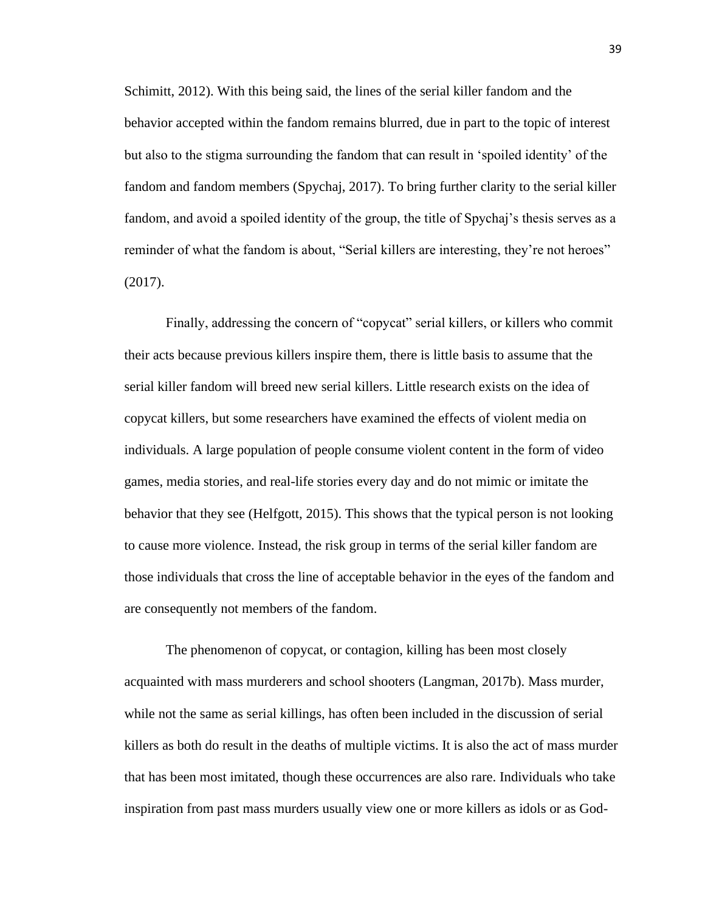Schimitt, 2012). With this being said, the lines of the serial killer fandom and the behavior accepted within the fandom remains blurred, due in part to the topic of interest but also to the stigma surrounding the fandom that can result in 'spoiled identity' of the fandom and fandom members (Spychaj, 2017). To bring further clarity to the serial killer fandom, and avoid a spoiled identity of the group, the title of Spychaj's thesis serves as a reminder of what the fandom is about, "Serial killers are interesting, they're not heroes" (2017).

Finally, addressing the concern of "copycat" serial killers, or killers who commit their acts because previous killers inspire them, there is little basis to assume that the serial killer fandom will breed new serial killers. Little research exists on the idea of copycat killers, but some researchers have examined the effects of violent media on individuals. A large population of people consume violent content in the form of video games, media stories, and real-life stories every day and do not mimic or imitate the behavior that they see (Helfgott, 2015). This shows that the typical person is not looking to cause more violence. Instead, the risk group in terms of the serial killer fandom are those individuals that cross the line of acceptable behavior in the eyes of the fandom and are consequently not members of the fandom.

The phenomenon of copycat, or contagion, killing has been most closely acquainted with mass murderers and school shooters (Langman, 2017b). Mass murder, while not the same as serial killings, has often been included in the discussion of serial killers as both do result in the deaths of multiple victims. It is also the act of mass murder that has been most imitated, though these occurrences are also rare. Individuals who take inspiration from past mass murders usually view one or more killers as idols or as God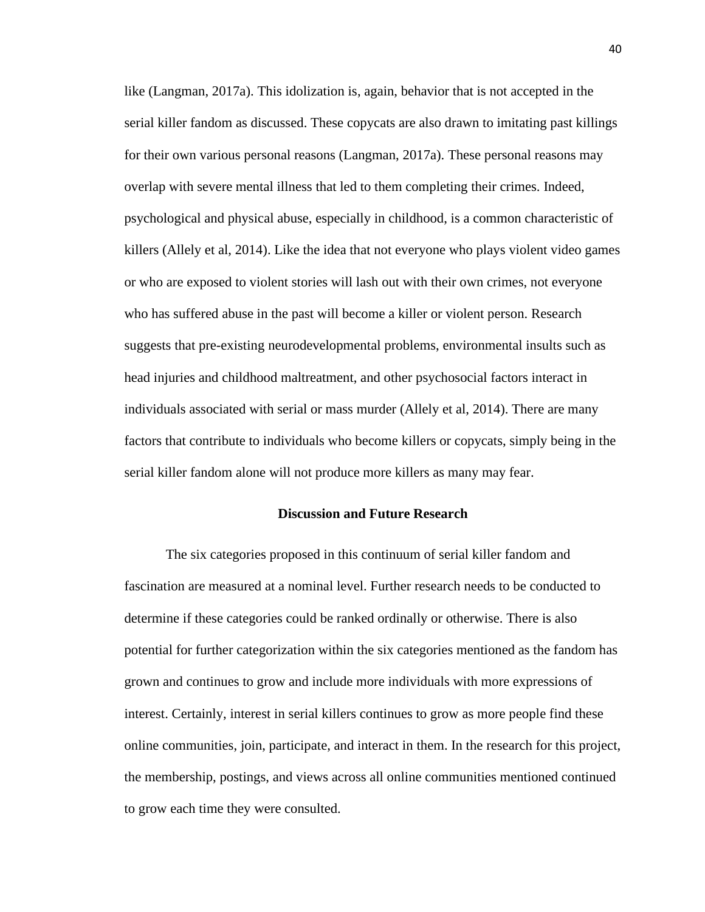like (Langman, 2017a). This idolization is, again, behavior that is not accepted in the serial killer fandom as discussed. These copycats are also drawn to imitating past killings for their own various personal reasons (Langman, 2017a). These personal reasons may overlap with severe mental illness that led to them completing their crimes. Indeed, psychological and physical abuse, especially in childhood, is a common characteristic of killers (Allely et al, 2014). Like the idea that not everyone who plays violent video games or who are exposed to violent stories will lash out with their own crimes, not everyone who has suffered abuse in the past will become a killer or violent person. Research suggests that pre-existing neurodevelopmental problems, environmental insults such as head injuries and childhood maltreatment, and other psychosocial factors interact in individuals associated with serial or mass murder (Allely et al, 2014). There are many factors that contribute to individuals who become killers or copycats, simply being in the serial killer fandom alone will not produce more killers as many may fear.

### **Discussion and Future Research**

The six categories proposed in this continuum of serial killer fandom and fascination are measured at a nominal level. Further research needs to be conducted to determine if these categories could be ranked ordinally or otherwise. There is also potential for further categorization within the six categories mentioned as the fandom has grown and continues to grow and include more individuals with more expressions of interest. Certainly, interest in serial killers continues to grow as more people find these online communities, join, participate, and interact in them. In the research for this project, the membership, postings, and views across all online communities mentioned continued to grow each time they were consulted.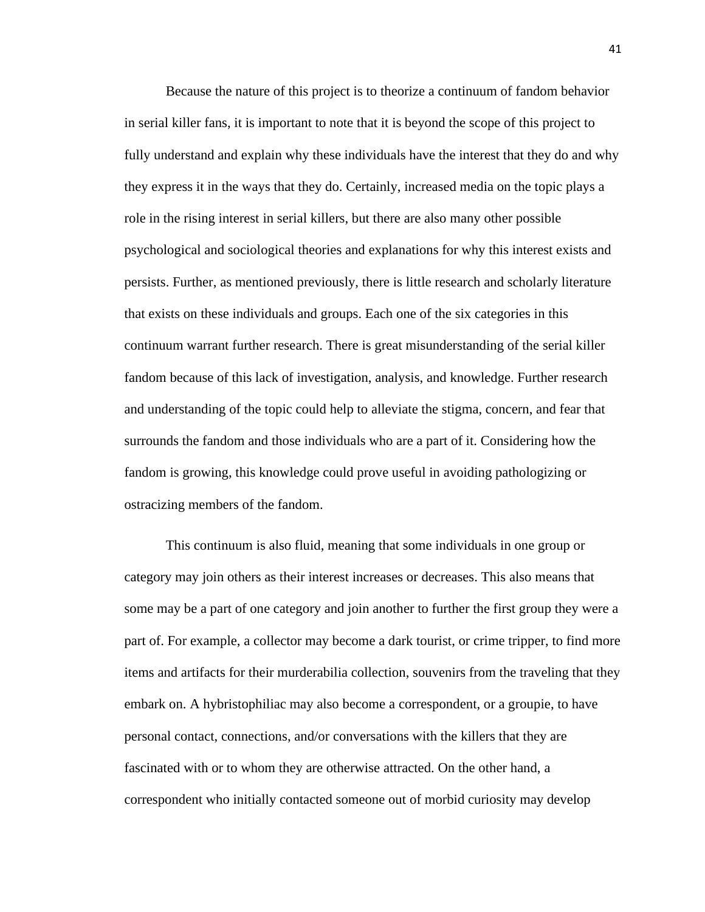Because the nature of this project is to theorize a continuum of fandom behavior in serial killer fans, it is important to note that it is beyond the scope of this project to fully understand and explain why these individuals have the interest that they do and why they express it in the ways that they do. Certainly, increased media on the topic plays a role in the rising interest in serial killers, but there are also many other possible psychological and sociological theories and explanations for why this interest exists and persists. Further, as mentioned previously, there is little research and scholarly literature that exists on these individuals and groups. Each one of the six categories in this continuum warrant further research. There is great misunderstanding of the serial killer fandom because of this lack of investigation, analysis, and knowledge. Further research and understanding of the topic could help to alleviate the stigma, concern, and fear that surrounds the fandom and those individuals who are a part of it. Considering how the fandom is growing, this knowledge could prove useful in avoiding pathologizing or ostracizing members of the fandom.

This continuum is also fluid, meaning that some individuals in one group or category may join others as their interest increases or decreases. This also means that some may be a part of one category and join another to further the first group they were a part of. For example, a collector may become a dark tourist, or crime tripper, to find more items and artifacts for their murderabilia collection, souvenirs from the traveling that they embark on. A hybristophiliac may also become a correspondent, or a groupie, to have personal contact, connections, and/or conversations with the killers that they are fascinated with or to whom they are otherwise attracted. On the other hand, a correspondent who initially contacted someone out of morbid curiosity may develop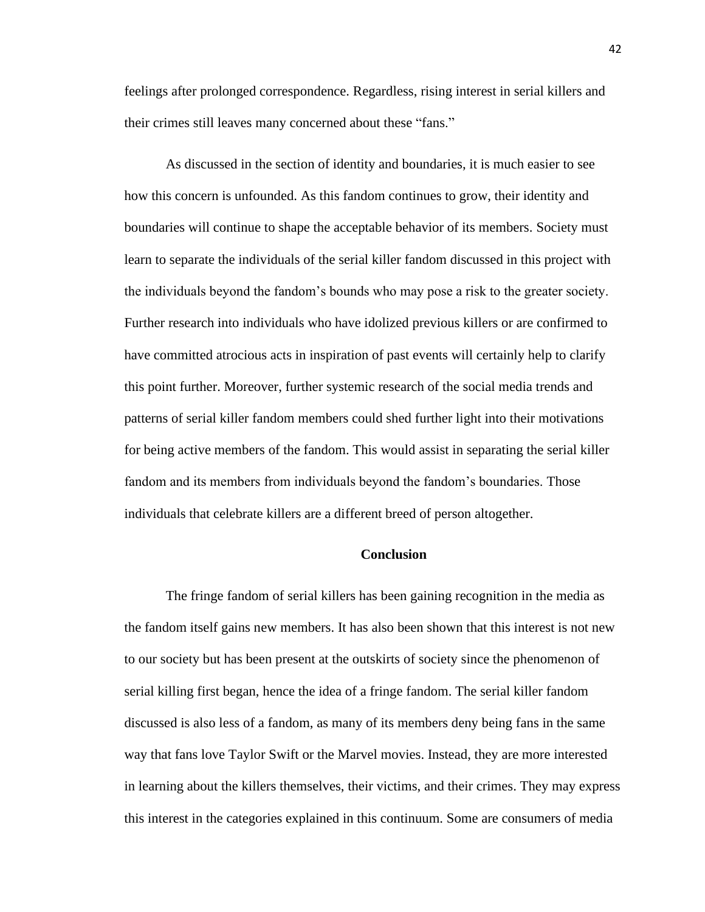feelings after prolonged correspondence. Regardless, rising interest in serial killers and their crimes still leaves many concerned about these "fans."

As discussed in the section of identity and boundaries, it is much easier to see how this concern is unfounded. As this fandom continues to grow, their identity and boundaries will continue to shape the acceptable behavior of its members. Society must learn to separate the individuals of the serial killer fandom discussed in this project with the individuals beyond the fandom's bounds who may pose a risk to the greater society. Further research into individuals who have idolized previous killers or are confirmed to have committed atrocious acts in inspiration of past events will certainly help to clarify this point further. Moreover, further systemic research of the social media trends and patterns of serial killer fandom members could shed further light into their motivations for being active members of the fandom. This would assist in separating the serial killer fandom and its members from individuals beyond the fandom's boundaries. Those individuals that celebrate killers are a different breed of person altogether.

### **Conclusion**

The fringe fandom of serial killers has been gaining recognition in the media as the fandom itself gains new members. It has also been shown that this interest is not new to our society but has been present at the outskirts of society since the phenomenon of serial killing first began, hence the idea of a fringe fandom. The serial killer fandom discussed is also less of a fandom, as many of its members deny being fans in the same way that fans love Taylor Swift or the Marvel movies. Instead, they are more interested in learning about the killers themselves, their victims, and their crimes. They may express this interest in the categories explained in this continuum. Some are consumers of media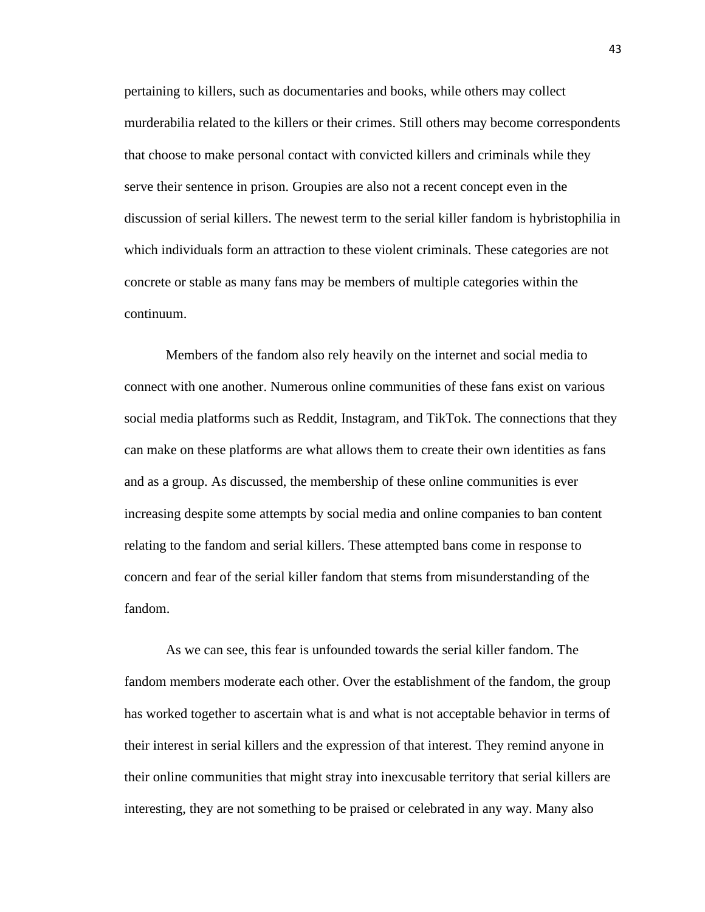pertaining to killers, such as documentaries and books, while others may collect murderabilia related to the killers or their crimes. Still others may become correspondents that choose to make personal contact with convicted killers and criminals while they serve their sentence in prison. Groupies are also not a recent concept even in the discussion of serial killers. The newest term to the serial killer fandom is hybristophilia in which individuals form an attraction to these violent criminals. These categories are not concrete or stable as many fans may be members of multiple categories within the continuum.

Members of the fandom also rely heavily on the internet and social media to connect with one another. Numerous online communities of these fans exist on various social media platforms such as Reddit, Instagram, and TikTok. The connections that they can make on these platforms are what allows them to create their own identities as fans and as a group. As discussed, the membership of these online communities is ever increasing despite some attempts by social media and online companies to ban content relating to the fandom and serial killers. These attempted bans come in response to concern and fear of the serial killer fandom that stems from misunderstanding of the fandom.

As we can see, this fear is unfounded towards the serial killer fandom. The fandom members moderate each other. Over the establishment of the fandom, the group has worked together to ascertain what is and what is not acceptable behavior in terms of their interest in serial killers and the expression of that interest. They remind anyone in their online communities that might stray into inexcusable territory that serial killers are interesting, they are not something to be praised or celebrated in any way. Many also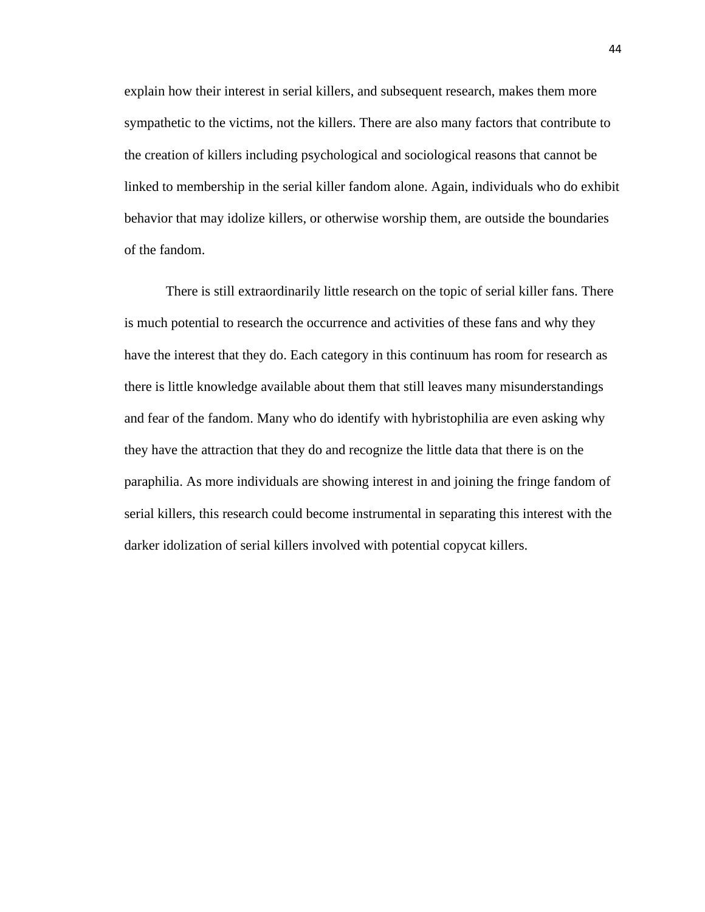explain how their interest in serial killers, and subsequent research, makes them more sympathetic to the victims, not the killers. There are also many factors that contribute to the creation of killers including psychological and sociological reasons that cannot be linked to membership in the serial killer fandom alone. Again, individuals who do exhibit behavior that may idolize killers, or otherwise worship them, are outside the boundaries of the fandom.

There is still extraordinarily little research on the topic of serial killer fans. There is much potential to research the occurrence and activities of these fans and why they have the interest that they do. Each category in this continuum has room for research as there is little knowledge available about them that still leaves many misunderstandings and fear of the fandom. Many who do identify with hybristophilia are even asking why they have the attraction that they do and recognize the little data that there is on the paraphilia. As more individuals are showing interest in and joining the fringe fandom of serial killers, this research could become instrumental in separating this interest with the darker idolization of serial killers involved with potential copycat killers.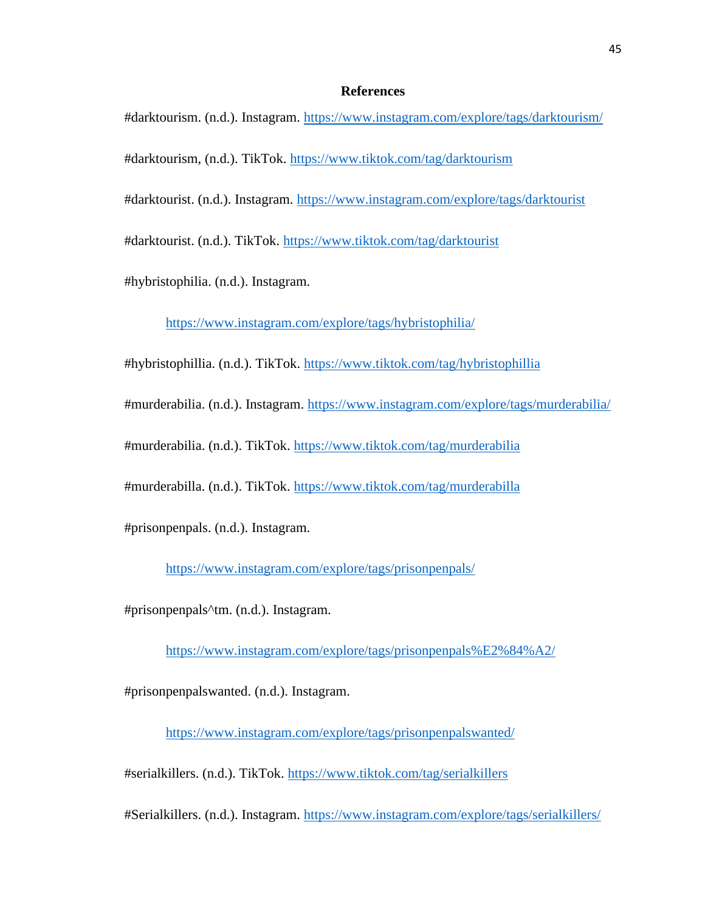### **References**

#darktourism. (n.d.). Instagram.<https://www.instagram.com/explore/tags/darktourism/>

#darktourism, (n.d.). TikTok.<https://www.tiktok.com/tag/darktourism>

#darktourist. (n.d.). Instagram.<https://www.instagram.com/explore/tags/darktourist>

#darktourist. (n.d.). TikTok.<https://www.tiktok.com/tag/darktourist>

#hybristophilia. (n.d.). Instagram.

<https://www.instagram.com/explore/tags/hybristophilia/>

#hybristophillia. (n.d.). TikTok.<https://www.tiktok.com/tag/hybristophillia>

#murderabilia. (n.d.). Instagram.<https://www.instagram.com/explore/tags/murderabilia/>

#murderabilia. (n.d.). TikTok.<https://www.tiktok.com/tag/murderabilia>

#murderabilla. (n.d.). TikTok.<https://www.tiktok.com/tag/murderabilla>

#prisonpenpals. (n.d.). Instagram.

<https://www.instagram.com/explore/tags/prisonpenpals/>

#prisonpenpals^tm. (n.d.). Instagram.

<https://www.instagram.com/explore/tags/prisonpenpals%E2%84%A2/>

#prisonpenpalswanted. (n.d.). Instagram.

<https://www.instagram.com/explore/tags/prisonpenpalswanted/>

#serialkillers. (n.d.). TikTok.<https://www.tiktok.com/tag/serialkillers>

#Serialkillers. (n.d.). Instagram.<https://www.instagram.com/explore/tags/serialkillers/>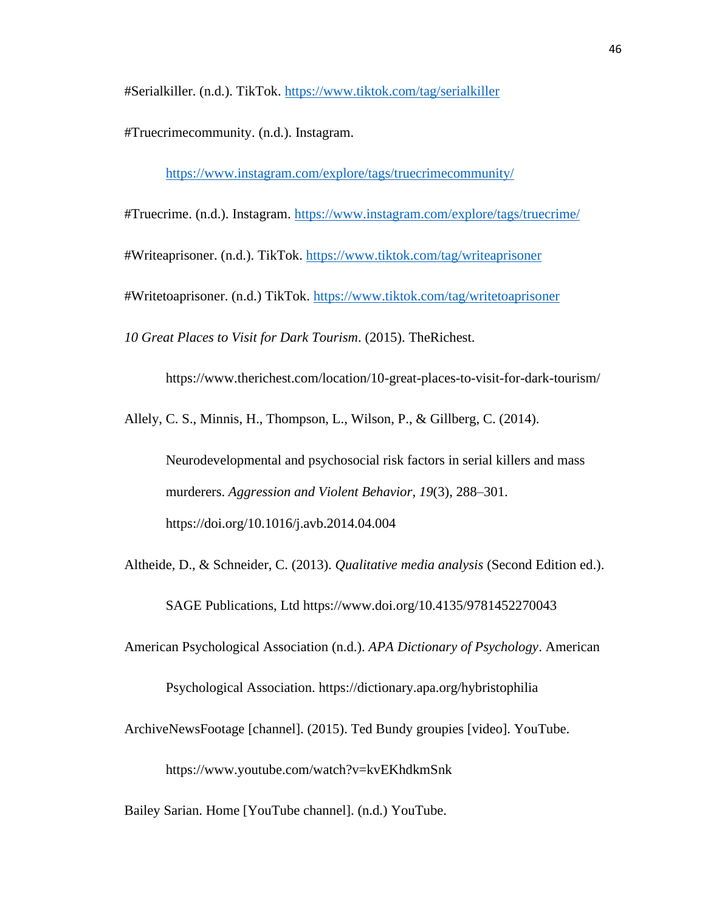#Serialkiller. (n.d.). TikTok.<https://www.tiktok.com/tag/serialkiller>

#Truecrimecommunity. (n.d.). Instagram.

<https://www.instagram.com/explore/tags/truecrimecommunity/>

#Truecrime. (n.d.). Instagram.<https://www.instagram.com/explore/tags/truecrime/>

#Writeaprisoner. (n.d.). TikTok.<https://www.tiktok.com/tag/writeaprisoner>

#Writetoaprisoner. (n.d.) TikTok.<https://www.tiktok.com/tag/writetoaprisoner>

*10 Great Places to Visit for Dark Tourism*. (2015). TheRichest.

https://www.therichest.com/location/10-great-places-to-visit-for-dark-tourism/

Allely, C. S., Minnis, H., Thompson, L., Wilson, P., & Gillberg, C. (2014).

Neurodevelopmental and psychosocial risk factors in serial killers and mass murderers. *Aggression and Violent Behavior*, *19*(3), 288–301. https://doi.org/10.1016/j.avb.2014.04.004

Altheide, D., & Schneider, C. (2013). *Qualitative media analysis* (Second Edition ed.).

SAGE Publications, Ltd https://www.doi.org/10.4135/9781452270043

American Psychological Association (n.d.). *APA Dictionary of Psychology*. American

Psychological Association. https://dictionary.apa.org/hybristophilia

ArchiveNewsFootage [channel]. (2015). Ted Bundy groupies [video]. YouTube.

https://www.youtube.com/watch?v=kvEKhdkmSnk

Bailey Sarian. Home [YouTube channel]. (n.d.) YouTube.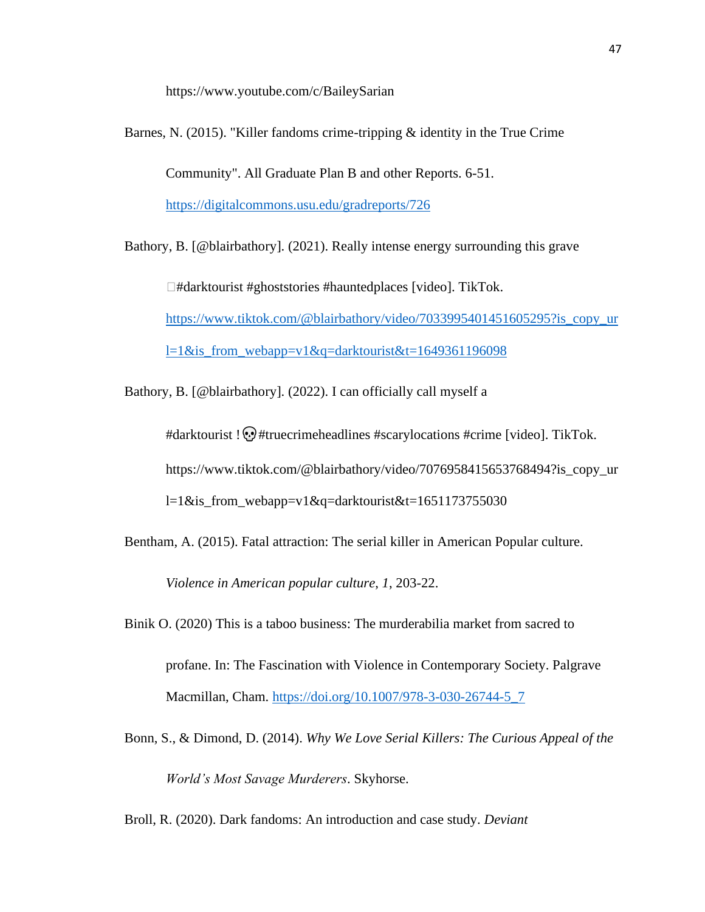https://www.youtube.com/c/BaileySarian

Barnes, N. (2015). "Killer fandoms crime-tripping & identity in the True Crime Community". All Graduate Plan B and other Reports. 6-51. <https://digitalcommons.usu.edu/gradreports/726> Bathory, B. [@blairbathory]. (2021). Really intense energy surrounding this grave

□#darktourist #ghoststories #hauntedplaces [video]. TikTok. [https://www.tiktok.com/@blairbathory/video/7033995401451605295?is\\_copy\\_ur](https://www.tiktok.com/@blairbathory/video/7033995401451605295?is_copy_url=1&is_from_webapp=v1&q=darktourist&t=1649361196098) l=1&is from webapp=v1&q=darktourist&t=1649361196098

Bathory, B. [@blairbathory]. (2022). I can officially call myself a

#darktourist !  $\odot$  #truecrimeheadlines #scarylocations #crime [video]. TikTok. https://www.tiktok.com/@blairbathory/video/7076958415653768494?is\_copy\_ur l=1&is\_from\_webapp=v1&q=darktourist&t=1651173755030

- Bentham, A. (2015). Fatal attraction: The serial killer in American Popular culture. *Violence in American popular culture*, *1*, 203-22.
- Binik O. (2020) This is a taboo business: The murderabilia market from sacred to profane. In: The Fascination with Violence in Contemporary Society. Palgrave Macmillan, Cham. [https://doi.org/10.1007/978-3-030-26744-5\\_7](https://doi.org/10.1007/978-3-030-26744-5_7)
- Bonn, S., & Dimond, D. (2014). *Why We Love Serial Killers: The Curious Appeal of the World's Most Savage Murderers*. Skyhorse.
- Broll, R. (2020). Dark fandoms: An introduction and case study. *Deviant*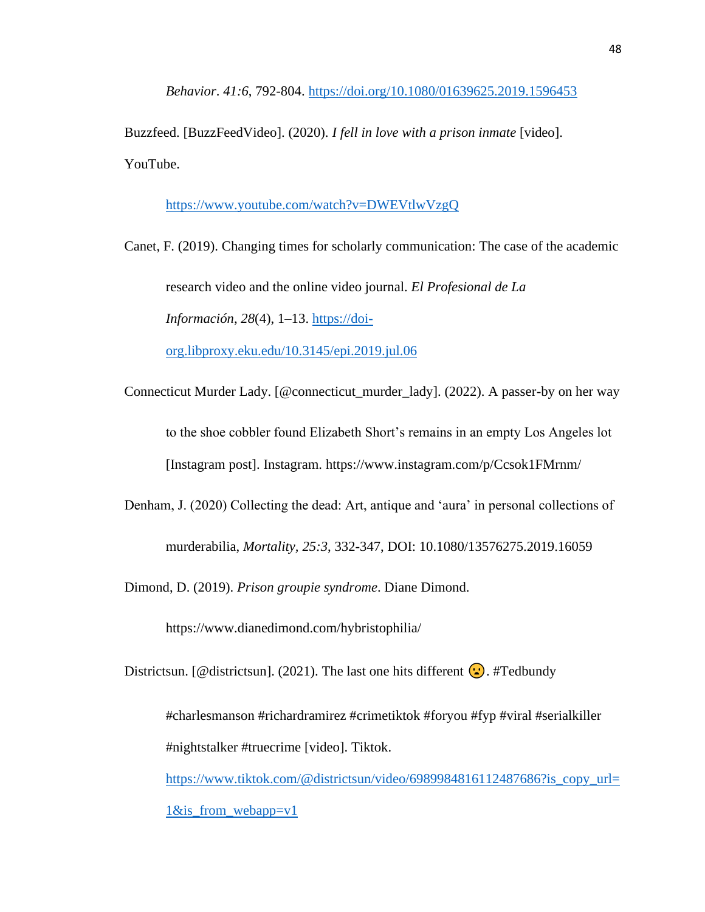*Behavior*. *41:6*, 792-804.<https://doi.org/10.1080/01639625.2019.1596453>

Buzzfeed. [BuzzFeedVideo]. (2020). *I fell in love with a prison inmate* [video]. YouTube.

<https://www.youtube.com/watch?v=DWEVtlwVzgQ>

Canet, F. (2019). Changing times for scholarly communication: The case of the academic research video and the online video journal. *El Profesional de La Información*, *28*(4), 1–13. [https://doi](https://doi-org.libproxy.eku.edu/10.3145/epi.2019.jul.06)[org.libproxy.eku.edu/10.3145/epi.2019.jul.06](https://doi-org.libproxy.eku.edu/10.3145/epi.2019.jul.06)

- Connecticut Murder Lady. [@connecticut\_murder\_lady]. (2022). A passer-by on her way to the shoe cobbler found Elizabeth Short's remains in an empty Los Angeles lot [Instagram post]. Instagram. https://www.instagram.com/p/Ccsok1FMrnm/
- Denham, J. (2020) Collecting the dead: Art, antique and 'aura' in personal collections of murderabilia, *Mortality, 25:3*, 332-347, DOI: 10.1080/13576275.2019.16059

Dimond, D. (2019). *Prison groupie syndrome*. Diane Dimond.

https://www.dianedimond.com/hybristophilia/

Districtsun. [@districtsun]. (2021). The last one hits different  $\ddot{\bullet}$ . #Tedbundy

#charlesmanson #richardramirez #crimetiktok #foryou #fyp #viral #serialkiller #nightstalker #truecrime [video]. Tiktok.

[https://www.tiktok.com/@districtsun/video/6989984816112487686?is\\_copy\\_url=](https://www.tiktok.com/@districtsun/video/6989984816112487686?is_copy_url=1&is_from_webapp=v1) 1&is from webapp=v1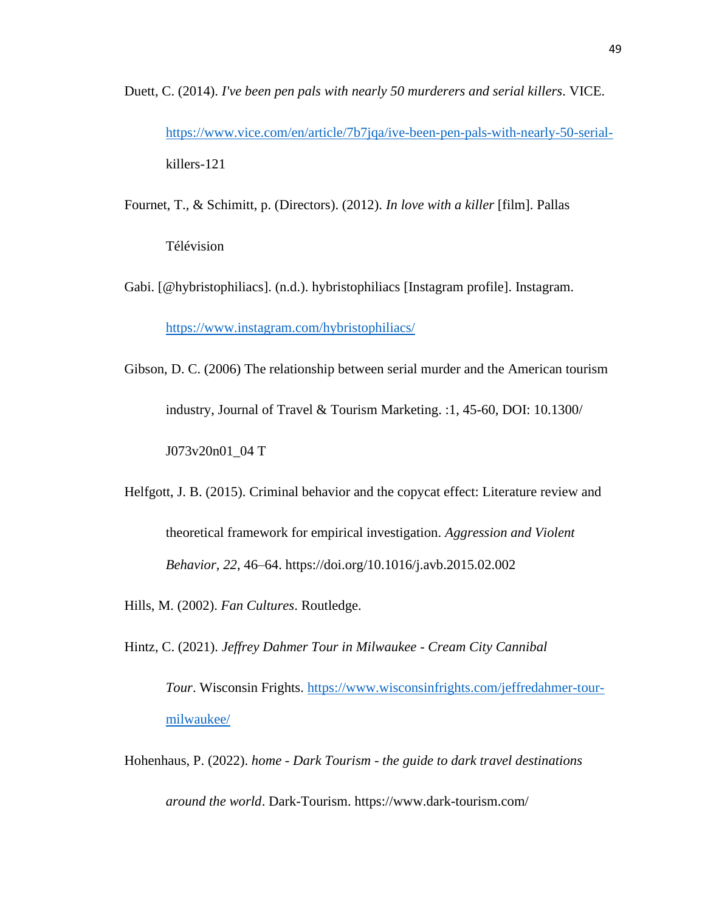- Duett, C. (2014). *I've been pen pals with nearly 50 murderers and serial killers*. VICE. [https://www.vice.com/en/article/7b7jqa/ive-been-pen-pals-with-nearly-50-serial](https://www.vice.com/en/article/7b7jqa/ive-been-pen-pals-with-nearly-50-serial-)killers-121
- Fournet, T., & Schimitt, p. (Directors). (2012). *In love with a killer* [film]. Pallas Télévision
- Gabi. [@hybristophiliacs]. (n.d.). hybristophiliacs [Instagram profile]. Instagram.

<https://www.instagram.com/hybristophiliacs/>

- Gibson, D. C. (2006) The relationship between serial murder and the American tourism industry, Journal of Travel & Tourism Marketing. :1, 45-60, DOI: 10.1300/ J073v20n01\_04 T
- Helfgott, J. B. (2015). Criminal behavior and the copycat effect: Literature review and theoretical framework for empirical investigation. *Aggression and Violent Behavior*, *22*, 46–64. https://doi.org/10.1016/j.avb.2015.02.002

Hills, M. (2002). *Fan Cultures*. Routledge.

Hintz, C. (2021). *Jeffrey Dahmer Tour in Milwaukee - Cream City Cannibal* 

*Tour*. Wisconsin Frights. [https://www.wisconsinfrights.com/jeffredahmer-tour](https://www.wisconsinfrights.com/jeffredahmer-tour-milwaukee/)[milwaukee/](https://www.wisconsinfrights.com/jeffredahmer-tour-milwaukee/)

Hohenhaus, P. (2022). *home - Dark Tourism - the guide to dark travel destinations around the world*. Dark-Tourism. https://www.dark-tourism.com/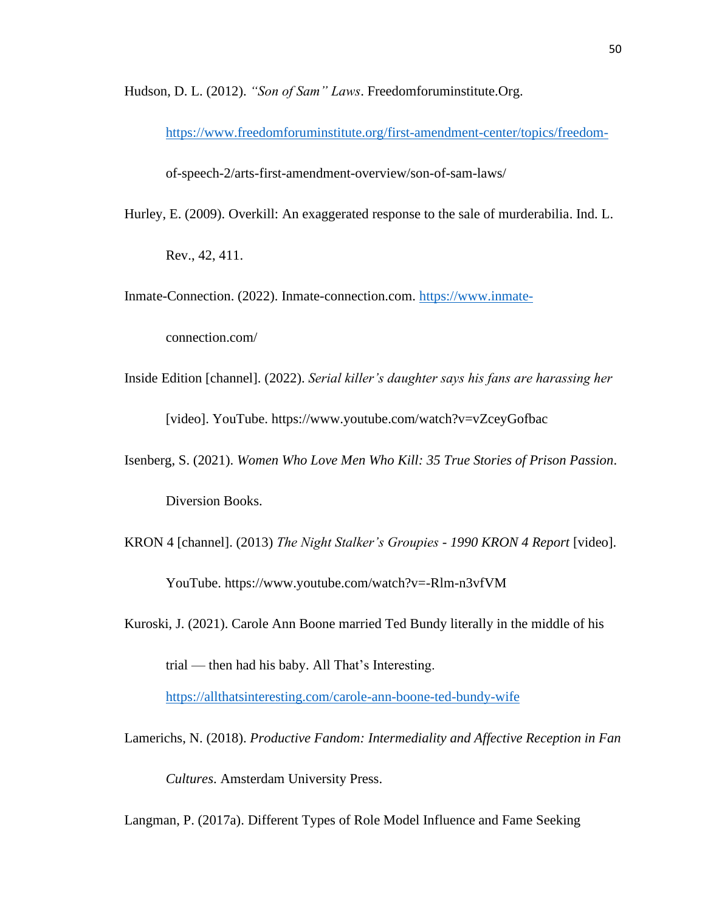Hudson, D. L. (2012). *"Son of Sam" Laws*. Freedomforuminstitute.Org.

<https://www.freedomforuminstitute.org/first-amendment-center/topics/freedom->

of-speech-2/arts-first-amendment-overview/son-of-sam-laws/

Hurley, E. (2009). Overkill: An exaggerated response to the sale of murderabilia. Ind. L.

Rev., 42, 411.

Inmate-Connection. (2022). Inmate-connection.com. [https://www.inmate-](https://www.inmate-/)

connection.com/

Inside Edition [channel]. (2022). *Serial killer's daughter says his fans are harassing her*

[video]. YouTube. https://www.youtube.com/watch?v=vZceyGofbac

- Isenberg, S. (2021). *Women Who Love Men Who Kill: 35 True Stories of Prison Passion*. Diversion Books.
- KRON 4 [channel]. (2013) *The Night Stalker's Groupies - 1990 KRON 4 Report* [video]. YouTube. https://www.youtube.com/watch?v=-Rlm-n3vfVM
- Kuroski, J. (2021). Carole Ann Boone married Ted Bundy literally in the middle of his trial — then had his baby. All That's Interesting. <https://allthatsinteresting.com/carole-ann-boone-ted-bundy-wife>
- Lamerichs, N. (2018). *Productive Fandom: Intermediality and Affective Reception in Fan Cultures*. Amsterdam University Press.

Langman, P. (2017a). Different Types of Role Model Influence and Fame Seeking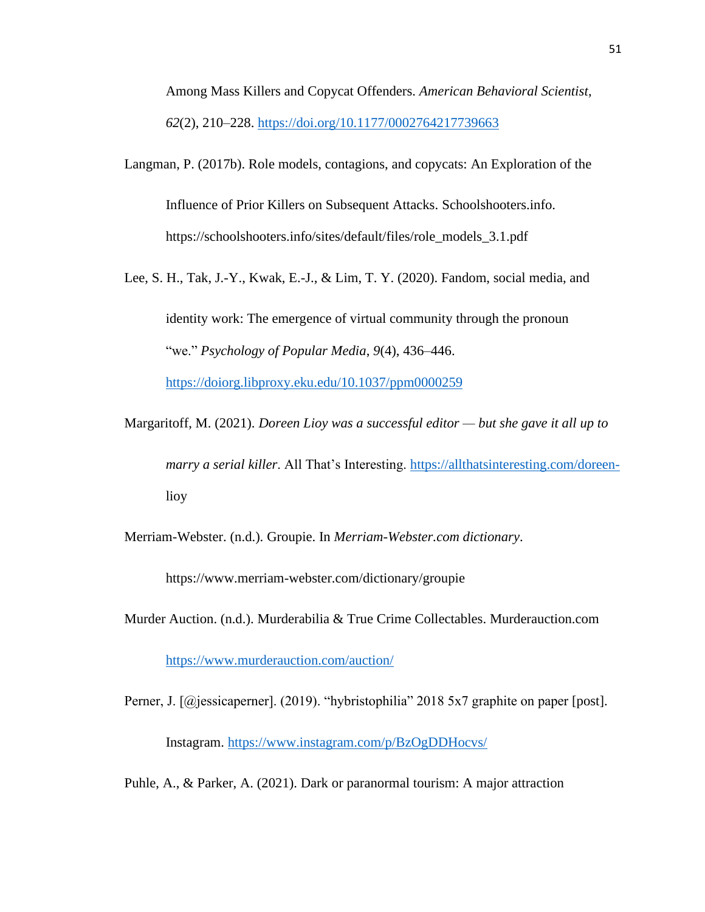Among Mass Killers and Copycat Offenders. *American Behavioral Scientist*, *62*(2), 210–228.<https://doi.org/10.1177/0002764217739663>

Langman, P. (2017b). Role models, contagions, and copycats: An Exploration of the Influence of Prior Killers on Subsequent Attacks. Schoolshooters.info. https://schoolshooters.info/sites/default/files/role\_models\_3.1.pdf

Lee, S. H., Tak, J.-Y., Kwak, E.-J., & Lim, T. Y. (2020). Fandom, social media, and identity work: The emergence of virtual community through the pronoun "we." *Psychology of Popular Media*, *9*(4), 436–446.

<https://doiorg.libproxy.eku.edu/10.1037/ppm0000259>

Margaritoff, M. (2021). *Doreen Lioy was a successful editor — but she gave it all up to marry a serial killer*. All That's Interesting. [https://allthatsinteresting.com/doreen](https://allthatsinteresting.com/doreen-)lioy

Merriam-Webster. (n.d.). Groupie. In *Merriam-Webster.com dictionary*.

https://www.merriam-webster.com/dictionary/groupie

Murder Auction. (n.d.). Murderabilia & True Crime Collectables. Murderauction.com

<https://www.murderauction.com/auction/>

Perner, J. [@jessicaperner]. (2019). "hybristophilia" 2018 5x7 graphite on paper [post]. Instagram.<https://www.instagram.com/p/BzOgDDHocvs/>

Puhle, A., & Parker, A. (2021). Dark or paranormal tourism: A major attraction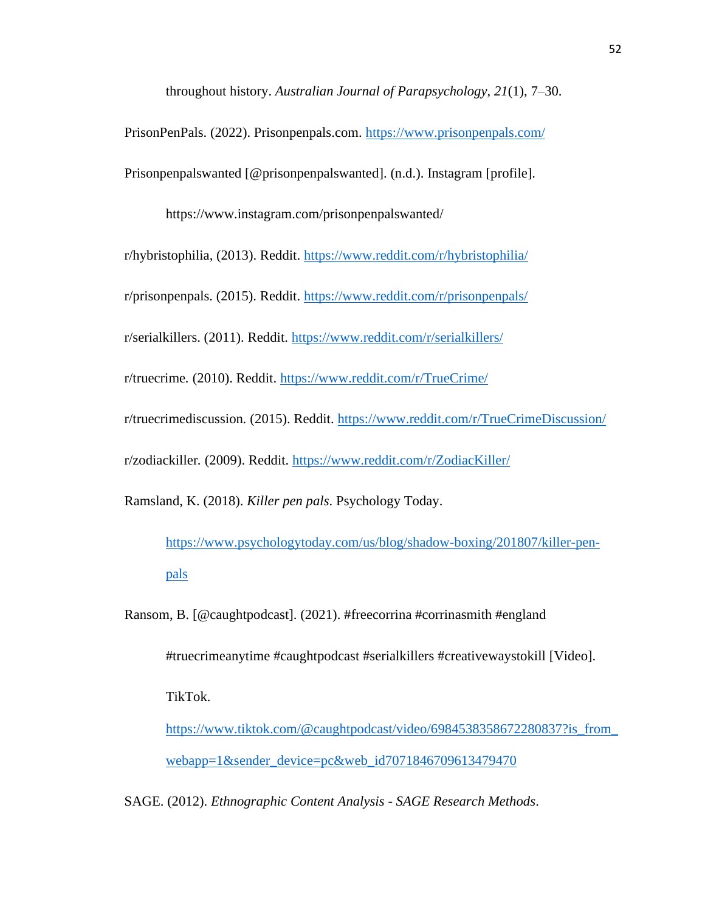throughout history. *Australian Journal of Parapsychology*, *21*(1), 7–30.

PrisonPenPals. (2022). Prisonpenpals.com.<https://www.prisonpenpals.com/>

Prisonpenpalswanted [@prisonpenpalswanted]. (n.d.). Instagram [profile].

https://www.instagram.com/prisonpenpalswanted/

r/hybristophilia, (2013). Reddit.<https://www.reddit.com/r/hybristophilia/>

r/prisonpenpals. (2015). Reddit.<https://www.reddit.com/r/prisonpenpals/>

r/serialkillers. (2011). Reddit.<https://www.reddit.com/r/serialkillers/>

r/truecrime*.* (2010). Reddit.<https://www.reddit.com/r/TrueCrime/>

r/truecrimediscussion*.* (2015). Reddit.<https://www.reddit.com/r/TrueCrimeDiscussion/>

r/zodiackiller*.* (2009). Reddit.<https://www.reddit.com/r/ZodiacKiller/>

Ramsland, K. (2018). *Killer pen pals*. Psychology Today.

[https://www.psychologytoday.com/us/blog/shadow-boxing/201807/killer-pen](https://www.psychologytoday.com/us/blog/shadow-boxing/201807/killer-pen-pals)[pals](https://www.psychologytoday.com/us/blog/shadow-boxing/201807/killer-pen-pals)

Ransom, B. [@caughtpodcast]. (2021). #freecorrina #corrinasmith #england

#truecrimeanytime #caughtpodcast #serialkillers #creativewaystokill [Video].

TikTok.

https://www.tiktok.com/@caughtpodcast/video/6984538358672280837?is from [webapp=1&sender\\_device=pc&web\\_id7071846709613479470](https://www.tiktok.com/@caughtpodcast/video/6984538358672280837?is_from_webapp=1&sender_device=pc&web_id7071846709613479470)

SAGE. (2012). *Ethnographic Content Analysis - SAGE Research Methods*.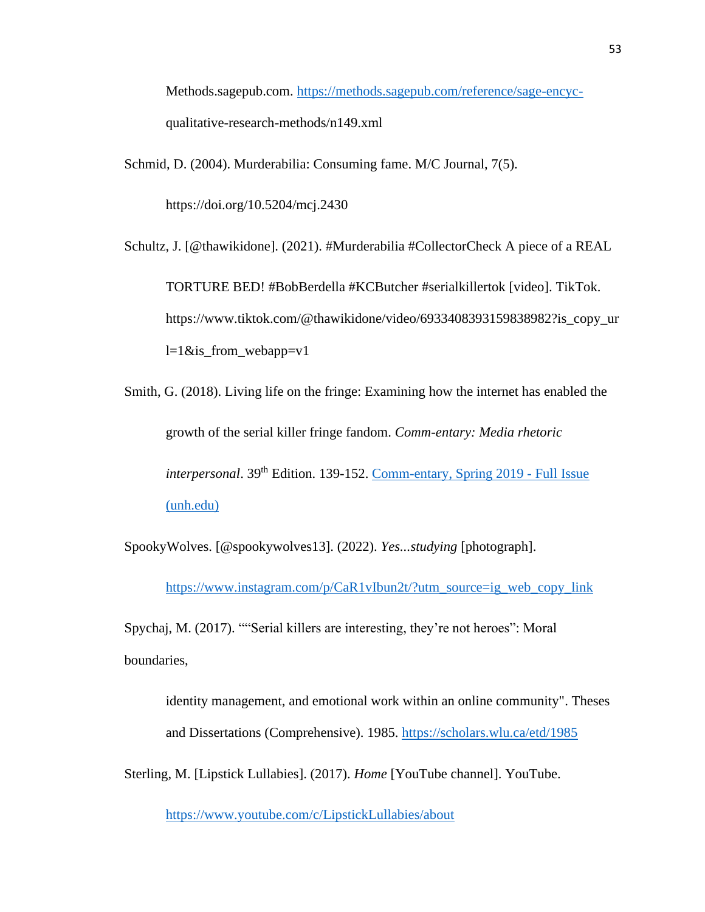Methods.sagepub.com. [https://methods.sagepub.com/reference/sage-encyc](https://methods.sagepub.com/reference/sage-encyc-)qualitative-research-methods/n149.xml

Schmid, D. (2004). Murderabilia: Consuming fame. M/C Journal, 7(5).

https://doi.org/10.5204/mcj.2430

Schultz, J. [@thawikidone]. (2021). #Murderabilia #CollectorCheck A piece of a REAL

TORTURE BED! #BobBerdella #KCButcher #serialkillertok [video]. TikTok. https://www.tiktok.com/@thawikidone/video/6933408393159838982?is\_copy\_ur  $l=1$ &is\_from\_webapp=v1

Smith, G. (2018). Living life on the fringe: Examining how the internet has enabled the growth of the serial killer fringe fandom. *Comm-entary: Media rhetoric interpersonal*. 39<sup>th</sup> Edition. 139-152. [Comm-entary, Spring 2019 -](https://scholars.unh.edu/cgi/viewcontent.cgi?article=1018&context=comm-entary#page=139) Full Issue [\(unh.edu\)](https://scholars.unh.edu/cgi/viewcontent.cgi?article=1018&context=comm-entary#page=139)

SpookyWolves. [@spookywolves13]. (2022). *Yes...studying* [photograph].

[https://www.instagram.com/p/CaR1vIbun2t/?utm\\_source=ig\\_web\\_copy\\_link](https://www.instagram.com/p/CaR1vIbun2t/?utm_source=ig_web_copy_link)

Spychaj, M. (2017). ""Serial killers are interesting, they're not heroes": Moral boundaries,

identity management, and emotional work within an online community". Theses and Dissertations (Comprehensive). 1985.<https://scholars.wlu.ca/etd/1985>

Sterling, M. [Lipstick Lullabies]. (2017). *Home* [YouTube channel]. YouTube.

<https://www.youtube.com/c/LipstickLullabies/about>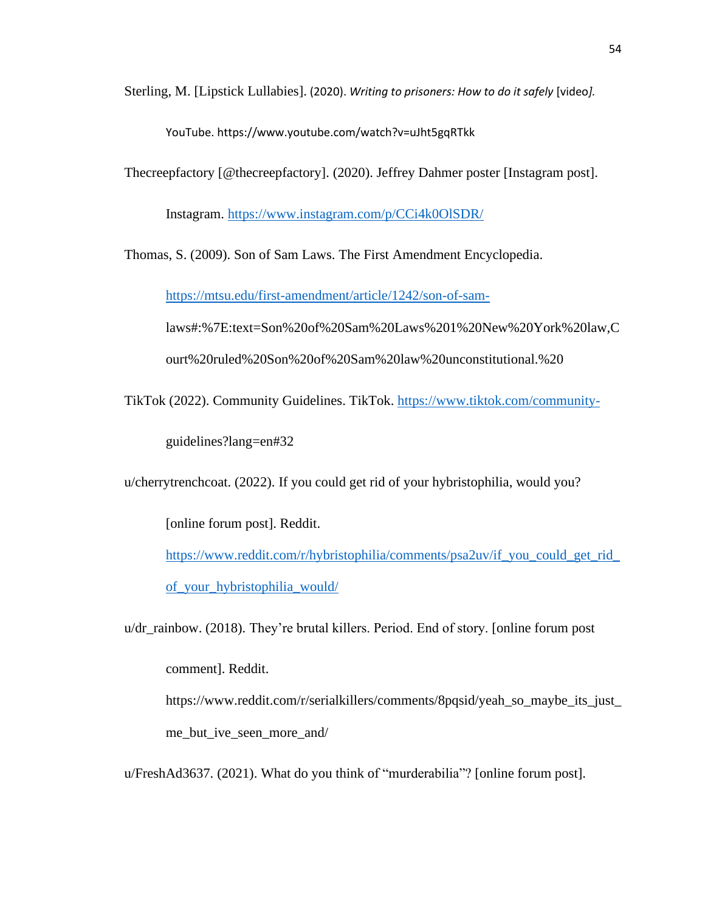Sterling, M. [Lipstick Lullabies]. (2020). *Writing to prisoners: How to do it safely* [video*].*

YouTube. https://www.youtube.com/watch?v=uJht5gqRTkk

Thecreepfactory [@thecreepfactory]. (2020). Jeffrey Dahmer poster [Instagram post].

Instagram.<https://www.instagram.com/p/CCi4k0OlSDR/>

Thomas, S. (2009). Son of Sam Laws. The First Amendment Encyclopedia.

<https://mtsu.edu/first-amendment/article/1242/son-of-sam->

laws#:%7E:text=Son%20of%20Sam%20Laws%201%20New%20York%20law,C ourt%20ruled%20Son%20of%20Sam%20law%20unconstitutional.%20

TikTok (2022). Community Guidelines. TikTok.<https://www.tiktok.com/community->

guidelines?lang=en#32

u/cherrytrenchcoat. (2022). If you could get rid of your hybristophilia, would you?

[online forum post]. Reddit.

[https://www.reddit.com/r/hybristophilia/comments/psa2uv/if\\_you\\_could\\_get\\_rid\\_](https://www.reddit.com/r/hybristophilia/comments/psa2uv/if_you_could_get_rid_of_your_hybristophilia_would/) [of\\_your\\_hybristophilia\\_would/](https://www.reddit.com/r/hybristophilia/comments/psa2uv/if_you_could_get_rid_of_your_hybristophilia_would/)

u/dr\_rainbow. (2018). They're brutal killers. Period. End of story. [online forum post

comment]. Reddit.

https://www.reddit.com/r/serialkillers/comments/8pqsid/yeah\_so\_maybe\_its\_just\_ me\_but\_ive\_seen\_more\_and/

u/FreshAd3637. (2021). What do you think of "murderabilia"? [online forum post].